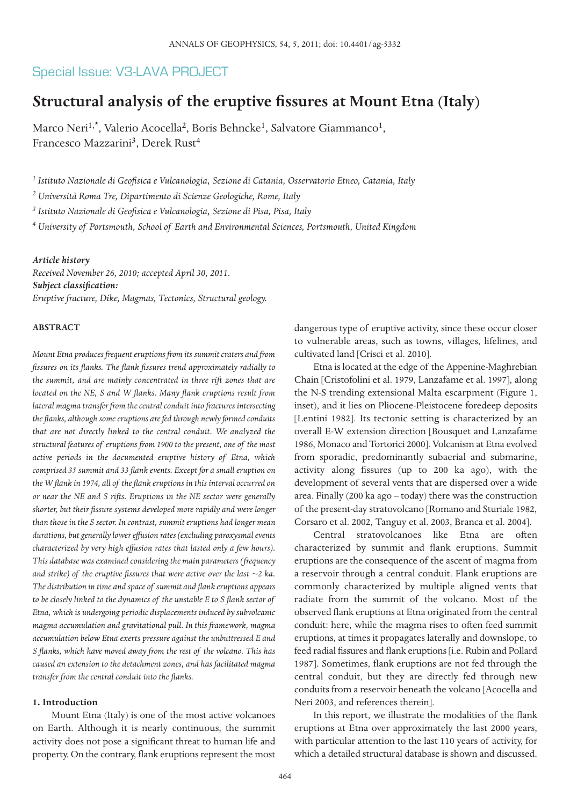## Special Issue: V3-LAVA PROJECT

# **Structural analysis of the eruptive fissures at Mount Etna (Italy)**

Marco Neri<sup>1,\*</sup>, Valerio Acocella<sup>2</sup>, Boris Behncke<sup>1</sup>, Salvatore Giammanco<sup>1</sup>, Francesco Mazzarini<sup>3</sup>, Derek Rust<sup>4</sup>

*<sup>1</sup> Istituto Nazionale di Geofisica e Vulcanologia, Sezione di Catania, Osservatorio Etneo, Catania, Italy*

*<sup>2</sup> Università Roma Tre, Dipartimento di Scienze Geologiche, Rome, Italy*

*<sup>3</sup> Istituto Nazionale di Geofisica e Vulcanologia, Sezione di Pisa, Pisa, Italy*

*<sup>4</sup> University of Portsmouth, School of Earth and Environmental Sciences, Portsmouth, United Kingdom*

### *Article history*

*Received November 26, 2010; accepted April 30, 2011. Subject classification: Eruptive fracture, Dike, Magmas, Tectonics, Structural geology.*

### **ABSTRACT**

*Mount Etna produces frequent eruptions from its summit craters and from fissures on its flanks. The flank fissures trend approximately radially to the summit, and are mainly concentrated in three rift zones that are located on the NE, S and W flanks. Many flank eruptions result from lateral magma transfer from the central conduit into fractures intersecting the flanks, although some eruptions are fed through newly formed conduits that are not directly linked to the central conduit. We analyzed the structural features of eruptions from 1900 to the present, one of the most active periods in the documented eruptive history of Etna, which comprised 35 summit and 33 flank events. Except for a small eruption on the W flank in 1974, all of the flank eruptions in this interval occurred on or near the NE and S rifts. Eruptions in the NE sector were generally shorter, but their fissure systems developed more rapidly and were longer than those in the S sector. In contrast, summit eruptions had longer mean durations, but generally lower effusion rates (excluding paroxysmal events characterized by very high effusion rates that lasted only a few hours). This database was examined considering the main parameters (frequency and strike) of the eruptive fissures that were active over the last ~2 ka. The distribution in time and space of summit and flank eruptions appears to be closely linked to the dynamics of the unstable E to S flank sector of Etna, which is undergoing periodic displacements induced by subvolcanic magma accumulation and gravitational pull. In this framework, magma accumulation below Etna exerts pressure against the unbuttressed E and S flanks, which have moved away from the rest of the volcano. This has caused an extension to the detachment zones, and has facilitated magma transfer from the central conduit into the flanks.*

#### **1. Introduction**

Mount Etna (Italy) is one of the most active volcanoes on Earth. Although it is nearly continuous, the summit activity does not pose a significant threat to human life and property. On the contrary, flank eruptions represent the most dangerous type of eruptive activity, since these occur closer to vulnerable areas, such as towns, villages, lifelines, and cultivated land [Crisci et al. 2010].

Etna is located at the edge of the Appenine-Maghrebian Chain [Cristofolini et al. 1979, Lanzafame et al. 1997], along the N-S trending extensional Malta escarpment (Figure 1, inset), and it lies on Pliocene-Pleistocene foredeep deposits [Lentini 1982]. Its tectonic setting is characterized by an overall E-W extension direction [Bousquet and Lanzafame 1986, Monaco and Tortorici 2000]. Volcanism at Etna evolved from sporadic, predominantly subaerial and submarine, activity along fissures (up to 200 ka ago), with the development of several vents that are dispersed over a wide area. Finally (200 ka ago – today) there was the construction of the present-day stratovolcano [Romano and Sturiale 1982, Corsaro et al. 2002, Tanguy et al. 2003, Branca et al. 2004].

Central stratovolcanoes like Etna are often characterized by summit and flank eruptions. Summit eruptions are the consequence of the ascent of magma from a reservoir through a central conduit. Flank eruptions are commonly characterized by multiple aligned vents that radiate from the summit of the volcano. Most of the observed flank eruptions at Etna originated from the central conduit: here, while the magma rises to often feed summit eruptions, at times it propagates laterally and downslope, to feed radial fissures and flank eruptions [i.e. Rubin and Pollard 1987]. Sometimes, flank eruptions are not fed through the central conduit, but they are directly fed through new conduits from a reservoir beneath the volcano [Acocella and Neri 2003, and references therein].

In this report, we illustrate the modalities of the flank eruptions at Etna over approximately the last 2000 years, with particular attention to the last 110 years of activity, for which a detailed structural database is shown and discussed.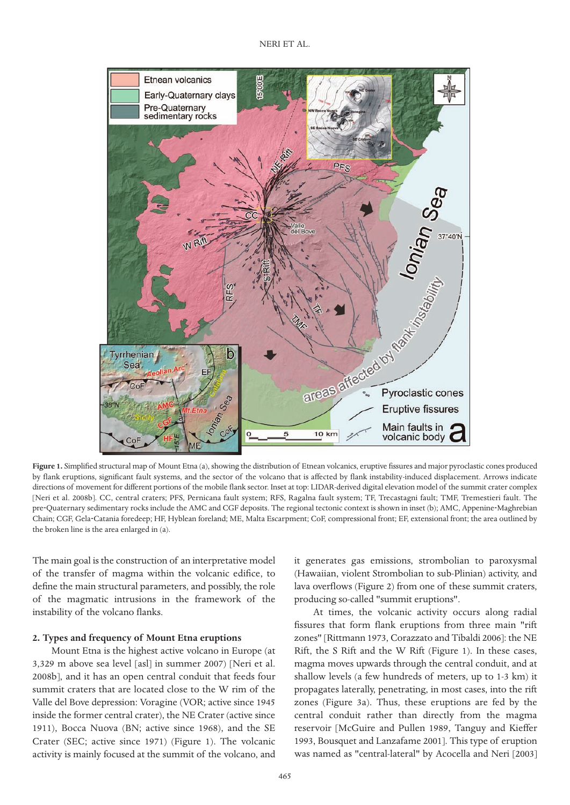

Figure 1. Simplified structural map of Mount Etna (a), showing the distribution of Etnean volcanics, eruptive fissures and major pyroclastic cones produced by flank eruptions, significant fault systems, and the sector of the volcano that is affected by flank instability-induced displacement. Arrows indicate directions of movement for different portions of the mobile flank sector. Inset at top: LIDAR-derived digital elevation model of the summit crater complex [Neri et al. 2008b]. CC, central craters; PFS, Pernicana fault system; RFS, Ragalna fault system; TF, Trecastagni fault; TMF, Tremestieri fault. The pre-Quaternary sedimentary rocks include the AMC and CGF deposits. The regional tectonic context is shown in inset (b); AMC, Appenine-Maghrebian Chain; CGF, Gela‐Catania foredeep; HF, Hyblean foreland; ME, Malta Escarpment; CoF, compressional front; EF, extensional front; the area outlined by the broken line is the area enlarged in (a).

The main goal is the construction of an interpretative model of the transfer of magma within the volcanic edifice, to define the main structural parameters, and possibly, the role of the magmatic intrusions in the framework of the instability of the volcano flanks.

### **2. Types and frequency of Mount Etna eruptions**

Mount Etna is the highest active volcano in Europe (at 3,329 m above sea level [asl] in summer 2007) [Neri et al. 2008b], and it has an open central conduit that feeds four summit craters that are located close to the W rim of the Valle del Bove depression: Voragine (VOR; active since 1945 inside the former central crater), the NE Crater (active since 1911), Bocca Nuova (BN; active since 1968), and the SE Crater (SEC; active since 1971) (Figure 1). The volcanic activity is mainly focused at the summit of the volcano, and

it generates gas emissions, strombolian to paroxysmal (Hawaiian, violent Strombolian to sub-Plinian) activity, and lava overflows (Figure 2) from one of these summit craters, producing so-called "summit eruptions".

At times, the volcanic activity occurs along radial fissures that form flank eruptions from three main "rift zones" [Rittmann 1973, Corazzato and Tibaldi 2006]: the NE Rift, the S Rift and the W Rift (Figure 1). In these cases, magma moves upwards through the central conduit, and at shallow levels (a few hundreds of meters, up to 1-3 km) it propagates laterally, penetrating, in most cases, into the rift zones (Figure 3a). Thus, these eruptions are fed by the central conduit rather than directly from the magma reservoir [McGuire and Pullen 1989, Tanguy and Kieffer 1993, Bousquet and Lanzafame 2001]. This type of eruption was named as "central-lateral" by Acocella and Neri [2003]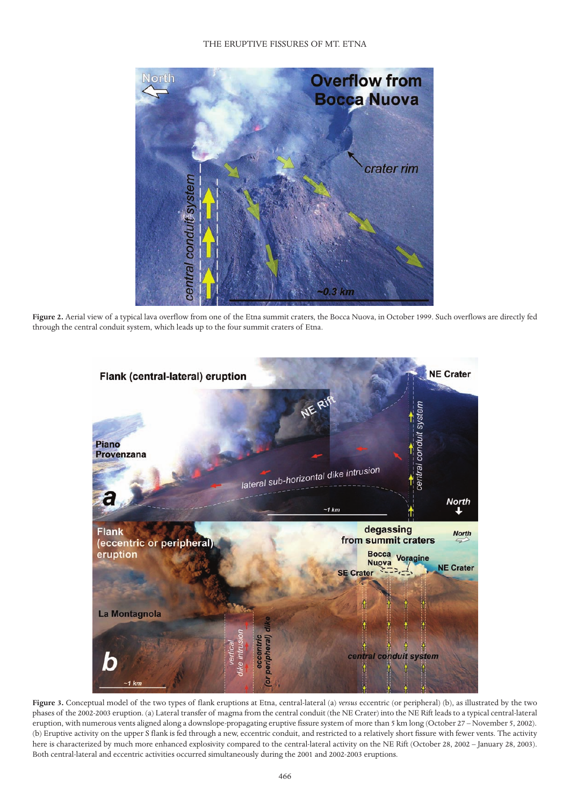

**Figure 2.** Aerial view of a typical lava overflow from one of the Etna summit craters, the Bocca Nuova, in October 1999. Such overflows are directly fed through the central conduit system, which leads up to the four summit craters of Etna.



**Figure 3.** Conceptual model of the two types of flank eruptions at Etna, central-lateral (a) *versus* eccentric (or peripheral) (b), as illustrated by the two phases of the 2002-2003 eruption. (a) Lateral transfer of magma from the central conduit (the NE Crater) into the NE Rift leads to a typical central-lateral eruption, with numerous vents aligned along a downslope-propagating eruptive fissure system of more than 5 km long (October 27 – November 5, 2002). (b) Eruptive activity on the upper S flank is fed through a new, eccentric conduit, and restricted to a relatively short fissure with fewer vents. The activity here is characterized by much more enhanced explosivity compared to the central-lateral activity on the NE Rift (October 28, 2002 – January 28, 2003). Both central-lateral and eccentric activities occurred simultaneously during the 2001 and 2002-2003 eruptions.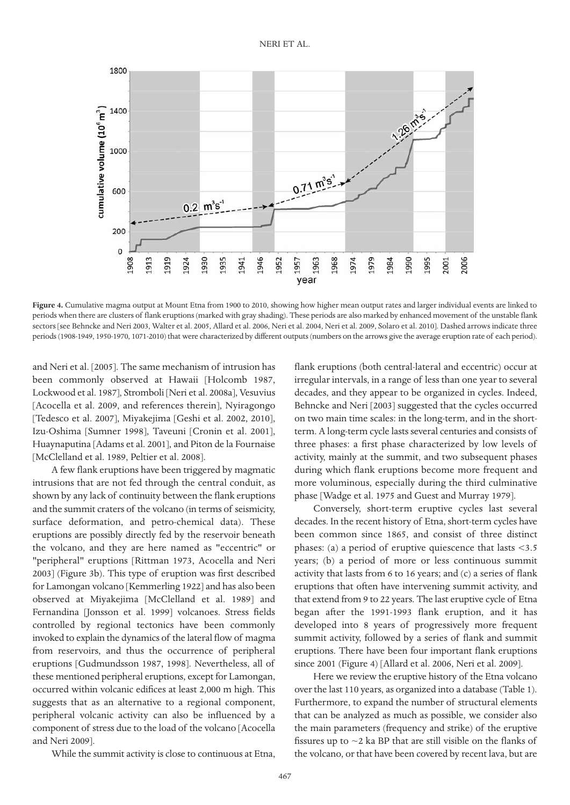

**Figure 4.** Cumulative magma output at Mount Etna from 1900 to 2010, showing how higher mean output rates and larger individual events are linked to periods when there are clusters of flank eruptions (marked with gray shading). These periods are also marked by enhanced movement of the unstable flank sectors [see Behncke and Neri 2003, Walter et al. 2005, Allard et al. 2006, Neri et al. 2004, Neri et al. 2009, Solaro et al. 2010]. Dashed arrows indicate three periods (1908-1949, 1950-1970, 1071-2010) that were characterized by different outputs (numbers on the arrows give the average eruption rate of each period).

and Neri et al. [2005]. The same mechanism of intrusion has been commonly observed at Hawaii [Holcomb 1987, Lockwood et al. 1987], Stromboli [Neri et al. 2008a], Vesuvius [Acocella et al. 2009, and references therein], Nyiragongo [Tedesco et al. 2007], Miyakejima [Geshi et al. 2002, 2010], Izu-Oshima [Sumner 1998], Taveuni [Cronin et al. 2001], Huaynaputina [Adams et al. 2001], and Piton de la Fournaise [McClelland et al. 1989, Peltier et al. 2008].

A few flank eruptions have been triggered by magmatic intrusions that are not fed through the central conduit, as shown by any lack of continuity between the flank eruptions and the summit craters of the volcano (in terms of seismicity, surface deformation, and petro-chemical data). These eruptions are possibly directly fed by the reservoir beneath the volcano, and they are here named as "eccentric" or "peripheral" eruptions [Rittman 1973, Acocella and Neri 2003] (Figure 3b). This type of eruption was first described for Lamongan volcano [Kemmerling 1922] and has also been observed at Miyakejima [McClelland et al. 1989] and Fernandina [Jonsson et al. 1999] volcanoes. Stress fields controlled by regional tectonics have been commonly invoked to explain the dynamics of the lateral flow of magma from reservoirs, and thus the occurrence of peripheral eruptions [Gudmundsson 1987, 1998]. Nevertheless, all of these mentioned peripheral eruptions, except for Lamongan, occurred within volcanic edifices at least 2,000 m high. This suggests that as an alternative to a regional component, peripheral volcanic activity can also be influenced by a component of stress due to the load of the volcano [Acocella and Neri 2009].

While the summit activity is close to continuous at Etna,

flank eruptions (both central-lateral and eccentric) occur at irregular intervals, in a range of less than one year to several decades, and they appear to be organized in cycles. Indeed, Behncke and Neri [2003] suggested that the cycles occurred on two main time scales: in the long-term, and in the shortterm. A long-term cycle lasts several centuries and consists of three phases: a first phase characterized by low levels of activity, mainly at the summit, and two subsequent phases during which flank eruptions become more frequent and more voluminous, especially during the third culminative phase [Wadge et al. 1975 and Guest and Murray 1979].

Conversely, short-term eruptive cycles last several decades. In the recent history of Etna, short-term cycles have been common since 1865, and consist of three distinct phases: (a) a period of eruptive quiescence that lasts  $\leq 3.5$ years; (b) a period of more or less continuous summit activity that lasts from 6 to 16 years; and (c) a series of flank eruptions that often have intervening summit activity, and that extend from 9 to 22 years. The last eruptive cycle of Etna began after the 1991-1993 flank eruption, and it has developed into 8 years of progressively more frequent summit activity, followed by a series of flank and summit eruptions. There have been four important flank eruptions since 2001 (Figure 4) [Allard et al. 2006, Neri et al. 2009].

Here we review the eruptive history of the Etna volcano over the last 110 years, as organized into a database (Table 1). Furthermore, to expand the number of structural elements that can be analyzed as much as possible, we consider also the main parameters (frequency and strike) of the eruptive fissures up to  $\sim$ 2 ka BP that are still visible on the flanks of the volcano, or that have been covered by recent lava, but are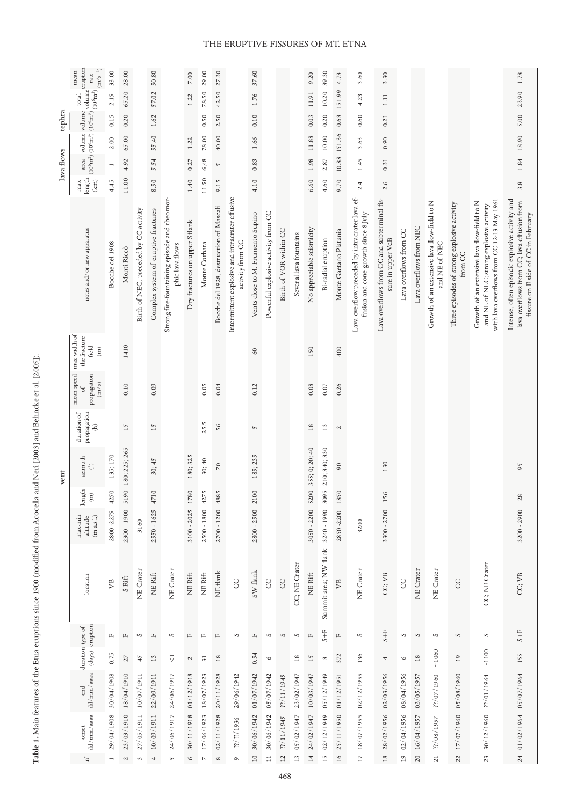|            | $(m^3s^{-1})$<br>mean<br>rate                                                                                                                                                                                                                                                                                                                                                                                                                                                                                                                                                                                                                                                                                                                | 33.00           | 28.00            |                                       | 50.80                                |                                                                 | $7.00\,$                       | 29.00                                         | 27.30                                   |                                                                     | 37.60                             |                                     |                        |                        | 9.20                      | 39.30                 | 4.73                   | 3.60                                                                                  | 3.30                                                             |                        |                         |                                                              |                                                        |                                                                                                                                       | 1.78                                                                                                                                |  |  |    |
|------------|----------------------------------------------------------------------------------------------------------------------------------------------------------------------------------------------------------------------------------------------------------------------------------------------------------------------------------------------------------------------------------------------------------------------------------------------------------------------------------------------------------------------------------------------------------------------------------------------------------------------------------------------------------------------------------------------------------------------------------------------|-----------------|------------------|---------------------------------------|--------------------------------------|-----------------------------------------------------------------|--------------------------------|-----------------------------------------------|-----------------------------------------|---------------------------------------------------------------------|-----------------------------------|-------------------------------------|------------------------|------------------------|---------------------------|-----------------------|------------------------|---------------------------------------------------------------------------------------|------------------------------------------------------------------|------------------------|-------------------------|--------------------------------------------------------------|--------------------------------------------------------|---------------------------------------------------------------------------------------------------------------------------------------|-------------------------------------------------------------------------------------------------------------------------------------|--|--|----|
|            | $\sqrt{\frac{1}{2}}$ volume<br>$_{\rm total}$                                                                                                                                                                                                                                                                                                                                                                                                                                                                                                                                                                                                                                                                                                | 2.15            | 65.20            |                                       | 57.02                                |                                                                 | 1.22                           | 78.50                                         | 42.50                                   |                                                                     | 1.76                              |                                     |                        |                        | 11.91                     | 10.20                 | 151.99                 | 4.23                                                                                  | $\Xi$                                                            |                        |                         |                                                              |                                                        |                                                                                                                                       | 23.90                                                                                                                               |  |  |    |
| tephra     | $(10^6 \text{m}^3) (10^6 \text{m}^3) (10^6 \text{m}^3)$ $(10^6 \text{m}^3)$                                                                                                                                                                                                                                                                                                                                                                                                                                                                                                                                                                                                                                                                  | 0.15            | 0.20             |                                       | $1.62\,$                             |                                                                 |                                | 0.50                                          | 2.50                                    |                                                                     | 0.10                              |                                     |                        |                        | 0.03                      | 0.20                  | 0.63                   | 0.60                                                                                  | 0.21                                                             |                        |                         |                                                              |                                                        |                                                                                                                                       | 5.00                                                                                                                                |  |  |    |
|            | volume volume                                                                                                                                                                                                                                                                                                                                                                                                                                                                                                                                                                                                                                                                                                                                | 2.00            | 65.00            |                                       | 55.40                                |                                                                 | 1.22                           | 78.00                                         | 40.00                                   |                                                                     | 1.66                              |                                     |                        |                        | 11.88                     | 10.00                 | 151.36                 | 3.63                                                                                  | 0.90                                                             |                        |                         |                                                              |                                                        |                                                                                                                                       | 18.90                                                                                                                               |  |  |    |
| lava flows | area                                                                                                                                                                                                                                                                                                                                                                                                                                                                                                                                                                                                                                                                                                                                         | $\overline{ }$  | 4.92             |                                       | 5.54                                 |                                                                 | 0.27                           | 6,48                                          | $\sim$                                  |                                                                     | $\!0.83\!$                        |                                     |                        |                        | 1.98                      | 2.87                  | $10.88\,$              | 1.45                                                                                  | 0.31                                                             |                        |                         |                                                              |                                                        |                                                                                                                                       | $1.84\,$                                                                                                                            |  |  |    |
|            | $_{\rm length}$<br>(km)<br>max                                                                                                                                                                                                                                                                                                                                                                                                                                                                                                                                                                                                                                                                                                               | 4.45            | 11.00            |                                       | 8.50                                 |                                                                 | $1.40$                         | 11.50                                         | 9.15                                    |                                                                     | 4.10                              |                                     |                        |                        | 6.60                      | 4.60                  | 9.70                   | 2.4                                                                                   | 2.6                                                              |                        |                         |                                                              |                                                        |                                                                                                                                       | $3.8\,$                                                                                                                             |  |  |    |
|            | notes and/or new apparatus                                                                                                                                                                                                                                                                                                                                                                                                                                                                                                                                                                                                                                                                                                                   | Bocche del 1908 | Monti Riccò      | Birth of NEC, preceded by CC activity | Complex system of eruptive fractures | Strong fire-fountaining episode and rheomor-<br>phic lava flows | Dry fractures on upper S flank | Monte Corbara                                 | Bocche del 1928, destruction of Mascali | Intermittent explosive and intracrater effusive<br>activity from CC | Vents close to M. Frumento Supino | Powerful explosive activity from CC | Birth of VOR within CC | Several lava fountains | No appreciable seismicity | Bi-radial eruption    | Monte Gaetano Platania | Lava overflow preceded by intracrater lava ef-<br>fusion and cone growth since 8 July | Lava overflows from CC and subterminal fis-<br>sure in upper VdB | Lava overflows from CC | Lava overflows from NEC | Growth of an extensive lava flow-field to N<br>and NE of NEC | Three episodes of strong explosive activity<br>from CC | with lava overflows from CC 12-13 May 1961<br>Growth of an extensive lava flow-field to N<br>and NE of NEC; strong explosive activity | Intense, often episodic explosive activity and<br>lava overflows from CC; lava effusion from<br>fissure on E side of CC in February |  |  |    |
|            | max width of<br>the fracture<br>field<br>$\widehat{\Xi}$                                                                                                                                                                                                                                                                                                                                                                                                                                                                                                                                                                                                                                                                                     |                 | 1410             |                                       |                                      |                                                                 |                                |                                               |                                         |                                                                     | 60                                |                                     |                        |                        | 150                       |                       | 400                    |                                                                                       |                                                                  |                        |                         |                                                              |                                                        |                                                                                                                                       |                                                                                                                                     |  |  |    |
|            | mean speed<br>propagation<br>(m/s)<br>$_{\rm of}$                                                                                                                                                                                                                                                                                                                                                                                                                                                                                                                                                                                                                                                                                            |                 | 0.10             |                                       | 0.09                                 |                                                                 |                                | 0.05                                          | 0.04                                    |                                                                     | 0.12                              |                                     |                        |                        | $\rm 0.08$                | $0.07\,$              | 0.26                   |                                                                                       |                                                                  |                        |                         |                                                              |                                                        |                                                                                                                                       |                                                                                                                                     |  |  |    |
|            | propagation<br>duration of<br>ê                                                                                                                                                                                                                                                                                                                                                                                                                                                                                                                                                                                                                                                                                                              |                 | 15               |                                       | 15                                   |                                                                 |                                | 25.5                                          | 56                                      |                                                                     | $\sqrt{2}$                        |                                     |                        |                        | $18$                      | 13                    | $\sim$                 |                                                                                       |                                                                  |                        |                         |                                                              |                                                        |                                                                                                                                       |                                                                                                                                     |  |  |    |
| vent       | azimuth<br>$\mathbb{C}$                                                                                                                                                                                                                                                                                                                                                                                                                                                                                                                                                                                                                                                                                                                      | 135; 170        | 90 180; 225; 265 |                                       |                                      |                                                                 |                                | 30; 45                                        |                                         | 180; 325                                                            | 30; 40                            | 70                                  |                        | 185; 235               |                           |                       |                        | 355; 0; 20; 40                                                                        | 210; 340; 330                                                    | $\overline{6}$         |                         | 130                                                          |                                                        |                                                                                                                                       |                                                                                                                                     |  |  | 95 |
|            | length<br>$\widehat{\Xi}$                                                                                                                                                                                                                                                                                                                                                                                                                                                                                                                                                                                                                                                                                                                    | 4250            | $\overline{5}$   |                                       | $\Xi$<br>47                          |                                                                 | 1780                           | 4275                                          | 4885                                    |                                                                     | $\circ$                           |                                     |                        |                        | 5200                      | 3095                  | 1850                   |                                                                                       | 156                                                              |                        |                         |                                                              |                                                        |                                                                                                                                       | 28                                                                                                                                  |  |  |    |
|            | max-min<br>(m a.s.l.)<br>altitude                                                                                                                                                                                                                                                                                                                                                                                                                                                                                                                                                                                                                                                                                                            | 2800-2275       | 2300 - 1900      | 3160                                  | 2550 - 1625                          |                                                                 | $3100 - 2025$                  | 2500 - 1800                                   | 2700 - 1200                             |                                                                     | $2800 - 2500$ 21                  |                                     |                        |                        | 3050 - 2200               | 3240 - 1990           | 2850-2200              | 3200                                                                                  | 3300 - 2700                                                      |                        |                         |                                                              |                                                        |                                                                                                                                       | 3200 - 2900                                                                                                                         |  |  |    |
|            | location                                                                                                                                                                                                                                                                                                                                                                                                                                                                                                                                                                                                                                                                                                                                     | УB              | S Rift           | NE Crater                             | NE Rift                              | NE Crater                                                       | NE Rift                        | NE Rift                                       | NE flank                                | CC                                                                  | SW flank                          | S                                   | CC                     | CC; NE Crater          | NE Rift                   | Summit area; NW flank | УB                     | NE Crater                                                                             | CC; VB                                                           | $_{\rm CC}$            | NE Crater               | NE Crater                                                    | CC                                                     | CC; NE Crater                                                                                                                         | CC; VB                                                                                                                              |  |  |    |
|            | (days) eruption<br>duration type of                                                                                                                                                                                                                                                                                                                                                                                                                                                                                                                                                                                                                                                                                                          | $\mathbb{L}$    | $\mathbb{L}$     | S                                     | $\mathbb{L}$                         | S                                                               | $\mathbb{I}$                   | $\mathbb{L}$                                  | $\mathbb{L}$                            | S                                                                   | $\mathbb{L}$                      | $\infty$                            | $\infty$               | $\infty$               | $\square$                 | $S + F$               | $\mathbb{L}$           | S                                                                                     | $5+5$                                                            | S                      | S                       | S                                                            | $\infty$                                               | S                                                                                                                                     | $\rm S+F$                                                                                                                           |  |  |    |
|            |                                                                                                                                                                                                                                                                                                                                                                                                                                                                                                                                                                                                                                                                                                                                              | 0.75            | 27               | 45                                    | $13\,$                               | $\stackrel{\rightharpoonup }{\vee}$                             | $\mathcal{L}$                  | $\overline{31}$                               | 18                                      |                                                                     | 0.54                              | $\circ$                             |                        | $\overline{18}$        | 15                        | $\mathfrak{S}$        | 372                    | 136                                                                                   | 4                                                                | $\circ$                | 18                      | $\sim\!1060$                                                 | $\overline{0}$                                         | $\sim\!1100$                                                                                                                          | 155                                                                                                                                 |  |  |    |
|            | dd/mm/aaaa<br>end                                                                                                                                                                                                                                                                                                                                                                                                                                                                                                                                                                                                                                                                                                                            | 30/04/1908      | 18/04/1910       | 10/07/1911                            | 22/09/1911                           | 24/06/1917                                                      | 01/12/1918                     | 18/07/1923                                    | 20/11/1928                              | 29/06/1942                                                          | 01/07/1942                        | 05/07/1942                          | ??/11/1945             | 23/02/1947             | 10/03/1947                | 05/12/1949            | 01/12/1951             | 02/12/1955                                                                            | 02/03/1956                                                       | 08/04/1956             | 03/05/1957              | 27/07/1960                                                   | 05/08/1960                                             | ??/01/1964                                                                                                                            |                                                                                                                                     |  |  |    |
|            | $\mathrm{d} \mathrm{d}/\mathrm{mm}/\mathrm{aaa}$<br>$onset$                                                                                                                                                                                                                                                                                                                                                                                                                                                                                                                                                                                                                                                                                  | 29/04/1908      | 23/03/1910       | 27/05/1911                            | 10/09/1911                           | 24/06/1917                                                      | 30/11/1918                     | 17/06/1923                                    | 02/11/1928                              | 9861/ü/il                                                           | 30/06/1942                        | 30/06/1942                          | ??/11/1945             | 05/02/1947             | 24/02/1947                | 02/12/1949            | 25/11/1950             | 18/07/1955                                                                            | 28/02/1956                                                       | 02/04/1956             | 20 16/04/1957           | 77/08/1957                                                   | 17/07/1960                                             | 30/12/1960                                                                                                                            | 24 01/02/1964 05/07/1964                                                                                                            |  |  |    |
|            | $\mathrel{\mathop{\text{--}}\nolimits_{\mathrel{\mathop{\scriptstyle\mathop{\scriptstyle\mathop{\scriptstyle\mathop{\scriptstyle\mathop{\scriptstyle\mathop{\scriptstyle\mathop{\scriptstyle\mathop{\scriptstyle\mathop{\scriptstyle\mathop{\scriptstyle\mathop{\scriptstyle\mathop{\scriptstyle\mathop{\scriptstyle\mathop{\scriptstyle\mathop{\scriptstyle\mathop{\scriptstyle\mathop{\scriptstyle\mathop{\scriptstyle\mathop{\scriptstyle\mathop{\scriptstyle\mathop{\scriptstyle\mathop{\scriptstyle\mathop{\scriptstyle\mathop{\scriptstyle\mathop{\scriptstyle\mathop{\scriptstyle\mathop{\scriptstyle\mathop{\scriptstyle\mathop{\scriptstyle\mathop{\scriptstyle\mathop{\scriptstyle\mathop{\scriptstyle\mathop{\scriptstyle\mathop$ | $\overline{ }$  | $\sim$           | 3                                     | 4                                    | $\overline{5}$                                                  | $\mathsf{\circ}$               | $\mathord{\hspace{1pt}\text{--}\hspace{1pt}}$ | ${}^{\circ}$                            | $\circ$                                                             | $\overline{10}$                   | $\equiv$                            | 12                     | 13                     | $\overline{14}$           | 15                    | 16                     | $\overline{17}$                                                                       | 18                                                               | $\overline{19}$        |                         | $\overline{21}$                                              | 22                                                     | 23                                                                                                                                    |                                                                                                                                     |  |  |    |

Table 1. Main features of the Etna eruptions since 1900 (modified from Acocella and Neri [2003] and Behncke et al. [2005]). **Table 1.** Main features of the Etna eruptions since 1900 (modified from Acocella and Neri [2003] and Behncke et al. [2005]).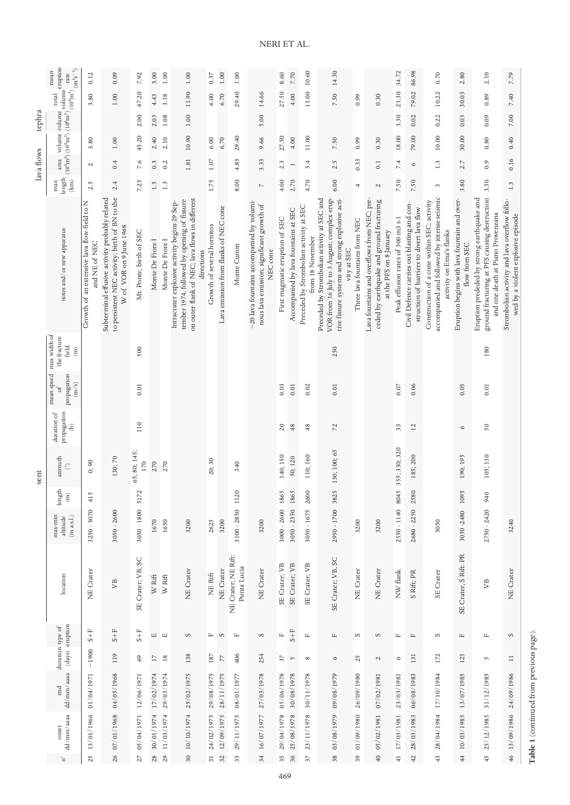|            | mean                                                                                              | 0.12                                                         | 0.09                                                                                                                        | 7.92                    | 3.00                         | 1.00                         | 1.00                                                                                                                                                         | 0.37                                   | $1.00\,$                              | $1.00\,$                           |                                                                                                          | 8.60                           | 7.70                                 | 10.60                                                       | 14.50                                                                                                                                                        |                               |                                                                                                                     | 34.72                             | 86.98                                                                                    | 0.70                                                                                                                    | 2.80                                                          | 2.10                                                                                                                            | 7.79                                                                                |
|------------|---------------------------------------------------------------------------------------------------|--------------------------------------------------------------|-----------------------------------------------------------------------------------------------------------------------------|-------------------------|------------------------------|------------------------------|--------------------------------------------------------------------------------------------------------------------------------------------------------------|----------------------------------------|---------------------------------------|------------------------------------|----------------------------------------------------------------------------------------------------------|--------------------------------|--------------------------------------|-------------------------------------------------------------|--------------------------------------------------------------------------------------------------------------------------------------------------------------|-------------------------------|---------------------------------------------------------------------------------------------------------------------|-----------------------------------|------------------------------------------------------------------------------------------|-------------------------------------------------------------------------------------------------------------------------|---------------------------------------------------------------|---------------------------------------------------------------------------------------------------------------------------------|-------------------------------------------------------------------------------------|
|            | $_{\rm total}$                                                                                    | 3.80                                                         | $1.00\,$                                                                                                                    | 47.20                   | 4.43                         | 3.18                         | 11.90                                                                                                                                                        | 6.00                                   | 6.70                                  | 29.40                              | 14.66                                                                                                    | 27.50                          | 4.00                                 | 11.00                                                       | 7.50                                                                                                                                                         | 0.99                          | 0.30                                                                                                                | 21.30                             | 79.02                                                                                    | 10.22                                                                                                                   | 30.03                                                         | 0.89                                                                                                                            | 7.40                                                                                |
| tephra     |                                                                                                   |                                                              |                                                                                                                             | 2.00                    | 2.03                         | 1.08                         | 1.00                                                                                                                                                         |                                        |                                       |                                    | 5.00                                                                                                     |                                |                                      |                                                             |                                                                                                                                                              |                               |                                                                                                                     | 3.30                              | 0.02                                                                                     | 0.22                                                                                                                    | 0.03                                                          | 0.09                                                                                                                            | $7.00\,$                                                                            |
|            | $(10^6 \text{m}^2) (10^6 \text{m}^3) (10^6 \text{m}^3)$ volume rate rate $(10^6 \text{m}^3)$ rate | 3.80                                                         | $1.00\,$                                                                                                                    | 45.20                   | 2.40                         | 2.10                         | 10.90                                                                                                                                                        | 6.00                                   | 6.70                                  | 29.40                              | 9.66                                                                                                     | 27.50                          | 4.00                                 | 11.00                                                       | 7.50                                                                                                                                                         | 0.99                          | 0.30                                                                                                                | 18.00                             | 79.00                                                                                    | 10.00                                                                                                                   | 30.00                                                         | 0.80                                                                                                                            | 0.40                                                                                |
| lava flows |                                                                                                   | N                                                            | 0.4                                                                                                                         | 7.6                     | 0.3                          | 0.2                          | 1.81                                                                                                                                                         | 1.07                                   |                                       | 4.83                               | 3.33                                                                                                     | 2.3                            | $\overline{ }$                       | 3.4                                                         | 2.5                                                                                                                                                          | 0.33                          | $\overline{\phantom{0}}$ .                                                                                          | 7.4                               | $\circ$                                                                                  | 1.3                                                                                                                     | 2.7                                                           | 0.9                                                                                                                             | 0.16                                                                                |
|            | $\mbox{length}$<br>$\left( \mathrm{km}\right)$<br>max                                             | 2.5                                                          | 2.4                                                                                                                         | 7.25                    | 1.5                          | 1.3                          |                                                                                                                                                              | 1.75                                   |                                       | 8.00                               | $\overline{\phantom{a}}$                                                                                 | 4.00                           | 2.70                                 | 4.70                                                        | 6.00                                                                                                                                                         | 4                             | $\mathcal{L}$                                                                                                       | 7.50                              | 7.50                                                                                     | 3                                                                                                                       | 3.80                                                          | 3.50                                                                                                                            | 1.3                                                                                 |
|            | notes and/or new apparatus                                                                        | Growth of an extensive lava flow-field to N<br>and NE of NEC | to persistent NEC activity; birth of BN to the<br>Subterminal effusive activity probably related<br>W of VOR on 9 June 1968 | Mt. Ponte; birth of SEC | Monte De Fiore I             | Monte De Fiore I             | on outer flank of NEC; lava flows in different<br>tember 1974, followed by opening of fissure<br>Intracrater explosive activity begins 29 Sep-<br>directions | Growth of several hornitos             | Lava emission from flanks of NEC cone | Monte Cumin                        | $\sim$ 20 lava fountains accompanied by volumi-<br>nous lava emission; significant growth of<br>NEC cone | First magmatic eruption of SEC | Accompanied by lava fountains at SEC | Preceded by Strombolian activity at SEC<br>from 18 November | VOR from 16 July to 3 August; complex erup-<br>Preceded by Strombolian activity at SEC and<br>tive fissure systems and strong explosive acti-<br>vity at SEC | Three lava fountains from NEC | Lava fountains and overflows from NEC; pre-<br>ceded by earthquake and ground fracturing<br>at the PFS on 8 January | Peak effusion rates of 300 m3 s-1 | Civil Defence carries out blasting and con-<br>struction of barriers to divert lava flow | accompanied and followed by intense seismic<br>Construction of a cone within SEC; activity<br>activity on Etna's flanks | Eruption begins with lava fountain and over-<br>flow from SEC | ground fracturing at PFS causing destruction<br>Eruption prededed by strong earthquake and<br>and one death at Piano Provenzana | Strombolian activity and lava overflow follo-<br>wed by a violent explosive episode |
|            | max width of<br>the fracture<br>field<br>$\widehat{\Xi}$                                          |                                                              |                                                                                                                             | 500                     |                              |                              |                                                                                                                                                              |                                        |                                       |                                    |                                                                                                          |                                |                                      |                                                             | 250                                                                                                                                                          |                               |                                                                                                                     |                                   |                                                                                          |                                                                                                                         |                                                               | 180                                                                                                                             |                                                                                     |
|            | mean speed<br>propagation<br>(m/s)<br>$\mathcal{L}_{\text{O}}$                                    |                                                              |                                                                                                                             | 0.01                    |                              |                              |                                                                                                                                                              |                                        |                                       |                                    |                                                                                                          | 0.03                           | $\rm 0.01$                           | 0.02                                                        | 0.01                                                                                                                                                         |                               |                                                                                                                     | 0.07                              | 0.06                                                                                     |                                                                                                                         | 0.05                                                          | $0.01$                                                                                                                          |                                                                                     |
|            | duration of<br>propagation<br>ê                                                                   |                                                              |                                                                                                                             | 110                     |                              |                              |                                                                                                                                                              |                                        |                                       |                                    |                                                                                                          | 20                             | $48$                                 | 48                                                          | 72                                                                                                                                                           |                               |                                                                                                                     | 33                                | 12                                                                                       |                                                                                                                         | $\circ$                                                       | 50                                                                                                                              |                                                                                     |
| vent       | azimuth<br>$\hat{\mathbb{C}}$                                                                     | 0;90                                                         | 130;70                                                                                                                      | 65; 80; 145;<br>170     | 270                          | 270                          |                                                                                                                                                              | 20; 30                                 |                                       | 340                                |                                                                                                          | 140; 150                       | 50; 120                              | 110; 160                                                    | 130; 100; 65                                                                                                                                                 |                               |                                                                                                                     | 355; 330; 320                     | 185; 200                                                                                 |                                                                                                                         | 190; 195                                                      | 105; 110                                                                                                                        |                                                                                     |
|            | length<br>$\widehat{\Xi}$                                                                         | $\sqrt{2}$<br>41                                             |                                                                                                                             | $\overline{z}$<br>51    |                              |                              |                                                                                                                                                              |                                        |                                       | 20<br>$\equiv$                     |                                                                                                          | 1865                           | 1865                                 | 2600                                                        |                                                                                                                                                              |                               |                                                                                                                     | 8045                              | 2580                                                                                     |                                                                                                                         | 1095                                                          | 940                                                                                                                             |                                                                                     |
|            | max-min<br>(m a.s.l.)<br>altitude                                                                 | 3250 - 3070                                                  | $3050 - 2600$                                                                                                               | 3050 - 1800             | 1670                         | 1650                         | 3200                                                                                                                                                         | 2625                                   | 3200                                  | 3100 - 2850                        | 3200                                                                                                     | $3000 - 2600$                  | $3050 - 2350$                        | $3050 - 1675$                                               | 2950 - 1700 3825                                                                                                                                             | 3200                          | 3200                                                                                                                | 2550 - 1140                       | 2680 - 2250                                                                              | 3050                                                                                                                    | 3050-2480                                                     | 2750 - 2420                                                                                                                     | 3240                                                                                |
|            | location                                                                                          | NE Crater                                                    | УB                                                                                                                          | SE Crater; VB; SC       | $\ensuremath{\text{W}}$ Rift | $\ensuremath{\text{W}}$ Rift | NE Crater                                                                                                                                                    | NE Rift                                | NE Crater                             | NE Crater; NE Rift:<br>Punta Lucia | NE Crater                                                                                                | SE Crater; VB                  | SE Crater; VB                        | SE Crater; VB                                               | SE Crater; VB, SC                                                                                                                                            | NE Crater                     | NE Crater                                                                                                           | NW flank                          | S Rift; PR                                                                               | SE Crater                                                                                                               | SE Crater, S Rift: PR                                         | УB                                                                                                                              | NE Crater                                                                           |
|            |                                                                                                   | $\rm S+F$                                                    | $3+8$                                                                                                                       | $S + F$                 | $\Xi$                        | $\hfill \square$             | $\infty$                                                                                                                                                     | Щ                                      | $\infty$                              | $\mathbb{L}$                       | S                                                                                                        | $\mathbb{L}$                   | $5+8$                                | $\mathbb{L}$                                                | $\mathbb{L}$                                                                                                                                                 | S                             | $\infty$                                                                                                            | 匞                                 | $\mathbb{L}$                                                                             | S                                                                                                                       | $\mathbbm{L}$                                                 | $\mathbb{L}$                                                                                                                    | $\infty$                                                                            |
|            | (days) eruption<br>duration type of                                                               | ~1900                                                        | 119                                                                                                                         | 69                      | $\overline{17}$              | $18$                         | 138                                                                                                                                                          | 187                                    | 77                                    | 406                                | 254                                                                                                      | 37                             | $\overline{5}$                       | ${}^{\circ}$                                                | $\circ$                                                                                                                                                      | 25                            | $\mathcal{L}$                                                                                                       | $\circ$                           | 131                                                                                      | 172                                                                                                                     | 125                                                           | $\sim$                                                                                                                          | $\equiv$                                                                            |
|            | dd/mm/aaaa<br>end                                                                                 | 01/04/1971                                                   | 04/05/1968                                                                                                                  | 12/06/1971              | 17/02/1974                   | 29/03/1974                   | 25/02/1975                                                                                                                                                   | 29/08/1975                             | 28/11/1975                            | 08/01/1977                         | 27/03/1978                                                                                               | 05/06/1978                     | 30/08/1978                           | 30/11/1978                                                  | 09/08/1979                                                                                                                                                   | 26/09/1980                    | 07/02/1981                                                                                                          | 23/03/1981                        | 06/08/1983                                                                               | 17/10/1984                                                                                                              | 13/07/1985                                                    | 31/12/1985                                                                                                                      | 24/09/1986                                                                          |
|            | dd/mm/aaaa<br>onset<br>$^{\circ}$                                                                 | 13/01/1966<br>25                                             | 07/01/1968<br>26                                                                                                            | 05/04/1971<br>27        | 30/01/1974<br>28             | 11/03/1974<br>29             | 10/10/1974<br>30 <sub>o</sub>                                                                                                                                | 24/02/1975<br>$\overline{\mathcal{E}}$ | 12/09/1975<br>32                      | 29/11/1975<br>33                   | 16/07/1977<br>34                                                                                         | 29/04/1978<br>35               | 25/08/1978<br>36                     | 23/11/1978<br>37                                            | 38 03/08/1979                                                                                                                                                | 01/09/1980<br>39              | 05/02/1981<br>40                                                                                                    | 17/03/1981<br>$\frac{1}{4}$       | 28/03/1983<br>42                                                                         | 28/04/1984<br>43                                                                                                        | 10/03/1985<br>$\frac{4}{4}$                                   | 25/12/1985<br>45                                                                                                                | 46 13/09/1986                                                                       |

469

**Table 1** (continued from previous page).

Table 1 (continued from previous page).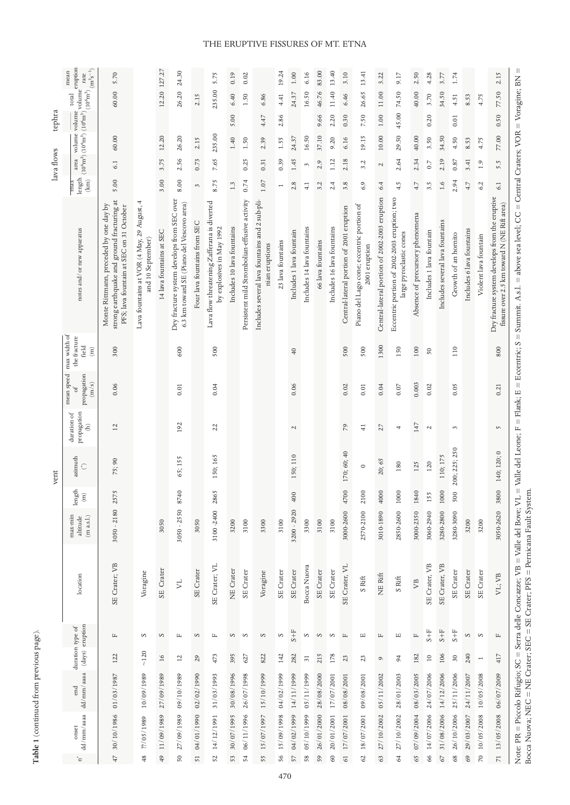|            | $\frac{1}{2}$ volume<br>$\rm (m^3s^{-1})$<br>mean<br>rate                                                                              | 5.70                                                                                                                            |                                                                 | 12.20 127.27             | 24.30                                                                                   |                              | 5.75                                                                     | 0.19                       | 0.02                                          |                                                                  | 19.24             | 1.00                     | 6.16                       | 83.00             | 13.40                      | 3.10                                     | 13.41                                                      | 3.22                                          | 9.17                                                                    | 2.50                            | 4.28                     | 3.77                            | 1.74                 |                           |                              | 2.15                                                                                          |
|------------|----------------------------------------------------------------------------------------------------------------------------------------|---------------------------------------------------------------------------------------------------------------------------------|-----------------------------------------------------------------|--------------------------|-----------------------------------------------------------------------------------------|------------------------------|--------------------------------------------------------------------------|----------------------------|-----------------------------------------------|------------------------------------------------------------------|-------------------|--------------------------|----------------------------|-------------------|----------------------------|------------------------------------------|------------------------------------------------------------|-----------------------------------------------|-------------------------------------------------------------------------|---------------------------------|--------------------------|---------------------------------|----------------------|---------------------------|------------------------------|-----------------------------------------------------------------------------------------------|
|            | $\frac{1}{(10^6 \text{m}^2)} \frac{1}{(10^6 \text{m}^3)} \frac{1}{(10^6 \text{m}^3)} \frac{\text{volume}}{(10^6 \text{m}^3)}$<br>total | 60.00                                                                                                                           |                                                                 |                          | 26.20                                                                                   | 2.15                         | 235.00                                                                   | 6.40                       | 1.50                                          | 6.86                                                             | 4.41              | 24.37                    | 16.50                      | 46.76             | 11.40                      | 6.46                                     | 26.65                                                      | 11.00                                         | 74.50                                                                   | 40.00                           | 3.70                     | 34.50                           | 4.51                 | 8.53                      | 4.75                         | 77.50                                                                                         |
| tephra     | volume                                                                                                                                 |                                                                                                                                 |                                                                 |                          |                                                                                         |                              |                                                                          | 5.00                       |                                               | 4.47                                                             | 2.86              |                          |                            | 9.66              | 2.20                       | 0.30                                     | 7.50                                                       | 1.00                                          | 45.00                                                                   |                                 | 0.20                     |                                 | 0.01                 |                           |                              | 0.50                                                                                          |
|            | volume                                                                                                                                 | 60.00                                                                                                                           |                                                                 | 12.20                    | 26.20                                                                                   | 2.15                         | 235.00                                                                   | 1.40                       | 1.50                                          | 2.39                                                             | 1.55              | 24.37                    | 16.50                      | 37.10             | 9.20                       | 6.16                                     | 19.15                                                      | 10.00                                         | 29.50                                                                   | 40.00                           | 3.50                     | 34.50                           | 4.50                 | 8.53                      | 4.75                         | 77.00                                                                                         |
| lava flows | area                                                                                                                                   | 6.1                                                                                                                             |                                                                 | 3.75                     | 2.56                                                                                    | 0.73                         | 7.65                                                                     |                            | 0.25                                          | 0.31                                                             | 0.39              | 1.45                     | $\mathcal{E}$              | 2.9               | 1.12                       | 2.18                                     | 3.2                                                        | $\sim$                                        | 2.64                                                                    | 2.34                            | 0.7                      | 2.19                            | 0.87                 | 3.41                      | 1.9                          | 5.5                                                                                           |
|            | $\mbox{length}$<br>$\left( \mathrm{km}\right)$<br>max                                                                                  | 5.00                                                                                                                            |                                                                 | 3.00                     | 8.00                                                                                    | 3                            | 8.75                                                                     | 1.3                        | 0.74                                          | $1.07\,$                                                         | $\overline{a}$    | 2.8                      | 4.1                        | 3.2               | 2.4                        | 3.8                                      | 6.9                                                        | 6.4                                           | 4.5                                                                     | 4.7                             | 3.5                      | 1.6                             | 2.94                 | 4.7                       | 6.2                          | 6.1                                                                                           |
|            | notes and/or new apparatus                                                                                                             | strong earthquake and ground fracturing at<br>Monte Rittmann, preceded by one day by<br>PFS: lava fountain at SEC on 31 October | Lava fountains at VOR (4 May, 29 August, 4<br>and 10 September) | 14 lava fountains at SEC | Dry fracture system develops from SEC over<br>6.3 km toward SE (Piano del Vescovo area) | Four lava fountains from SEC | Lava flow threatening Zafferana is diverted<br>by explosives in May 1992 | Includes 10 lava fountains | Persistent mild Strombolian-effusive activity | Includes several lava fountains and 2 sub-pli-<br>nian eruptions | 23 lava fountains | Includes 1 lava fountain | Includes 14 lava fountains | 66 lava fountains | Includes 16 lava fountains | Central-lateral portion of 2001 eruption | Piano del Lago cone; eccentric portion of<br>2001 eruption | Central-lateral portion of 2002-2003 eruption | Eccentric portion of 2002-2003 eruption; two<br>large pyroclastic cones | Absence of precursory phenomena | Includes 1 lava fountain | Includes several lava fountains | Growth of an hornito | Includes 6 lava fountains | Violent lava fountain        | Dry fracture system develops from the eruptive<br>fissure over 2.5 km toward N (NE Rift area) |
|            | max width of<br>the fracture<br>field<br>$\widehat{\Xi}$                                                                               | 300                                                                                                                             |                                                                 |                          | 600                                                                                     |                              | 500                                                                      |                            |                                               |                                                                  |                   | $\overline{40}$          |                            |                   |                            | 500                                      | 500                                                        | 1300                                          | 150                                                                     | 100                             | 50                       |                                 | 110                  |                           |                              | 800                                                                                           |
|            | mean speed<br>propagation<br>(m/s)<br>ъ                                                                                                | 0.06                                                                                                                            |                                                                 |                          | $0.01$                                                                                  |                              | 0.04                                                                     |                            |                                               |                                                                  |                   | 0.06                     |                            |                   |                            | 0.02                                     | $0.01\,$                                                   | 0.04                                          | 0.07                                                                    | 0.003                           | 0.02                     |                                 | 0.05                 |                           |                              | 0.21                                                                                          |
|            | duration of<br>propagation<br>Ê                                                                                                        | 12                                                                                                                              |                                                                 |                          | 192                                                                                     |                              | 22                                                                       |                            |                                               |                                                                  |                   | $\sim$                   |                            |                   |                            | 79                                       | $\frac{1}{4}$                                              | 27                                            | 4                                                                       | 147                             | $\mathcal{L}$            |                                 | 3                    |                           |                              | $\sqrt{2}$                                                                                    |
| vent       | azimuth<br>$\hat{\mathbb{C}}$                                                                                                          | 75;90                                                                                                                           |                                                                 |                          | 65; 155                                                                                 |                              | 150; 165                                                                 |                            |                                               |                                                                  |                   | 150; 110                 |                            |                   |                            | 170; 60; 40                              | $\circ$                                                    | 20;65                                         | 180                                                                     | 125                             | 120                      | 110; 175                        | 200; 225; 250        |                           |                              | 140; 120; 0                                                                                   |
|            | length<br>$\widehat{\Xi}$                                                                                                              | 2575                                                                                                                            |                                                                 |                          | 8740                                                                                    |                              | 2865                                                                     |                            |                                               |                                                                  |                   | 400                      |                            |                   |                            | 4700                                     | 2100                                                       | 4000                                          | 1000                                                                    | 1840                            | 155                      | 1000                            | 500                  |                           |                              | 3800                                                                                          |
|            | max-min<br>$(\mathrm{m}$ a.s.l.)<br>altitude                                                                                           | $3050 - 2180$                                                                                                                   |                                                                 | 3050                     | $3050 - 2550$                                                                           | 3050                         | 3100-2400                                                                | 3200                       | 3100                                          | 3300                                                             | 3100              | 3200 - 2920              | 3300                       | 3100              | 3100                       | 3000-2600                                | 2570-2100                                                  | 3010-1890                                     | 2850-2600                                                               | 3000-2350                       | 3060-2940                | 3280-2800                       | 3280-3090            | 3200                      | 3200                         | 3050-2620                                                                                     |
|            | location                                                                                                                               | SE Crater; VB                                                                                                                   | Voragine                                                        | SE Crater                | <b>Z</b>                                                                                | SE Crater                    | SE Crater; VL                                                            | NE Crater                  | <b>SE</b> Crater                              | Voragine                                                         | SE Crater         | SE Crater                | Bocca Nuova                | SE Crater         | SE Crater                  | SE Crater, VL                            | S Rift                                                     | NE Rift                                       | S Rift                                                                  | $\mathbb{R}^2$                  | SE Crater, VB            | SE Crater, VB                   | SE Crater            | SE Crater                 | SE Crater                    | VL; VB                                                                                        |
|            | (days) eruption<br>duration type of                                                                                                    | Щ                                                                                                                               | S                                                               | $\infty$                 | $\square$                                                                               | $\infty$                     | Щ                                                                        | S                          | $\infty$                                      | $\mathbf{\Omega}$                                                | S                 | $1+5$                    | $\infty$                   | $\infty$          | S                          | $\mathbb{L}$                             | $\Xi$                                                      | $\square$                                     | Щ                                                                       | $\mathbb{L}$                    | $S + F$                  | $\rm S+F$                       | $\rm S+F$            | S                         | $\infty$                     | $\mathbb{L}$                                                                                  |
|            |                                                                                                                                        | 122                                                                                                                             | $\sim\!120$                                                     | $\overline{\mathsf{d}}$  | $\overline{12}$                                                                         | 29                           | 473                                                                      | 395                        | 627                                           | 822                                                              | 142               | 282                      | $\overline{31}$            | 215               | 178                        | 23                                       | 23                                                         | $\circ$                                       | 94                                                                      | 182                             | $\Xi$                    | 106                             | 30                   | 240                       | $\overline{\phantom{a}}$     | 417                                                                                           |
|            | dd/mm/aaaa<br>end                                                                                                                      | 01/03/1987                                                                                                                      | 10/09/1989                                                      | 27/09/1989               | 09/10/1989                                                                              | 02/02/1990                   | 31/03/1993                                                               | 30/08/1996                 | 26/07/1998                                    | 15/10/1999                                                       | 04/02/1999        | 14/11/1999               | 05/11/1999                 | 28/08/2000        | 17/07/2001                 | 08/08/2001                               | 09/08/2001                                                 | 05/11/2002                                    | 28/01/2003                                                              | 08/03/2005                      | 24/07/2006               | 14/12/2006                      | 25/11/2006           | 24/11/2007                | 10/05/2008                   | 06/07/2009                                                                                    |
|            | $\mathrm{d} \mathrm{d}/\mathrm{mm}/\mathrm{aaaa}$<br>onset<br>$^{\circ}$ $\Box$                                                        | 30/10/1986<br>47                                                                                                                | 27/05/1989<br>48                                                | 49 11/09/1989            | 27/09/1989<br>50                                                                        | 04/01/1990<br>51             | 14/12/1991<br>52                                                         | 30/07/1995<br>53           | 06/11/1996<br>54                              | 15/07/1997<br>55                                                 | 15/09/1998<br>56  | 04/02/1999<br>57         | 05/10/1999<br>58           | 26/01/2000<br>59  | $20/\sqrt{01}/2001$<br>60  | 17/07/2001<br>61                         | 18/07/2001<br>62                                           | 27/10/2002<br>63                              | 27/10/2002<br>64                                                        | 07/09/2004<br>65                | 14/07/2006<br>66         | 31/08/2006<br>67                | 26/10/2006<br>68     | 29/03/2007<br>69          | 10/05/2008<br>$\overline{2}$ | 13/05/2008<br>$\overline{z}$                                                                  |

### THE ERUPTIVE FISSURES OF MT. ETNA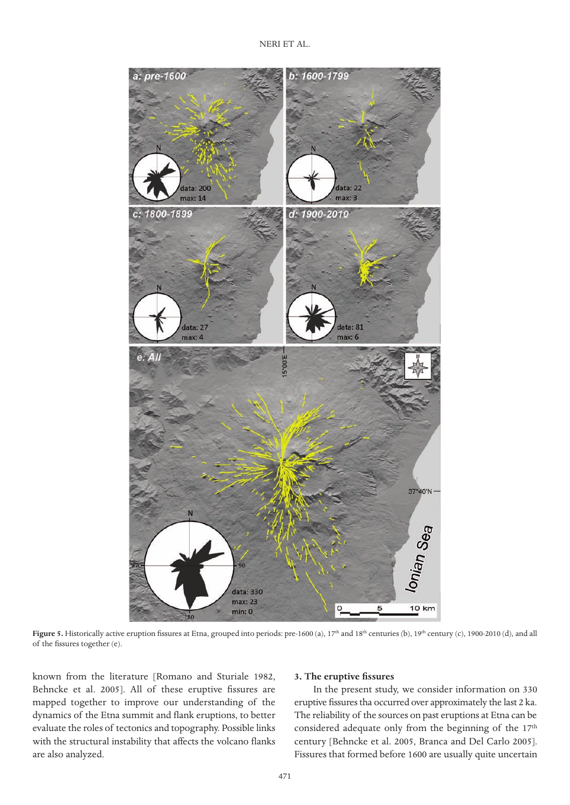

Figure 5. Historically active eruption fissures at Etna, grouped into periods: pre-1600 (a), 17<sup>th</sup> and 18<sup>th</sup> centuries (b), 19<sup>th</sup> century (c), 1900-2010 (d), and all of the fissures together (e).

known from the literature [Romano and Sturiale 1982, Behncke et al. 2005]. All of these eruptive fissures are mapped together to improve our understanding of the dynamics of the Etna summit and flank eruptions, to better evaluate the roles of tectonics and topography. Possible links with the structural instability that affects the volcano flanks are also analyzed.

### **3. The eruptive fissures**

In the present study, we consider information on 330 eruptive fissures tha occurred over approximately the last 2 ka. The reliability of the sources on past eruptions at Etna can be considered adequate only from the beginning of the 17<sup>th</sup> century [Behncke et al. 2005, Branca and Del Carlo 2005]. Fissures that formed before 1600 are usually quite uncertain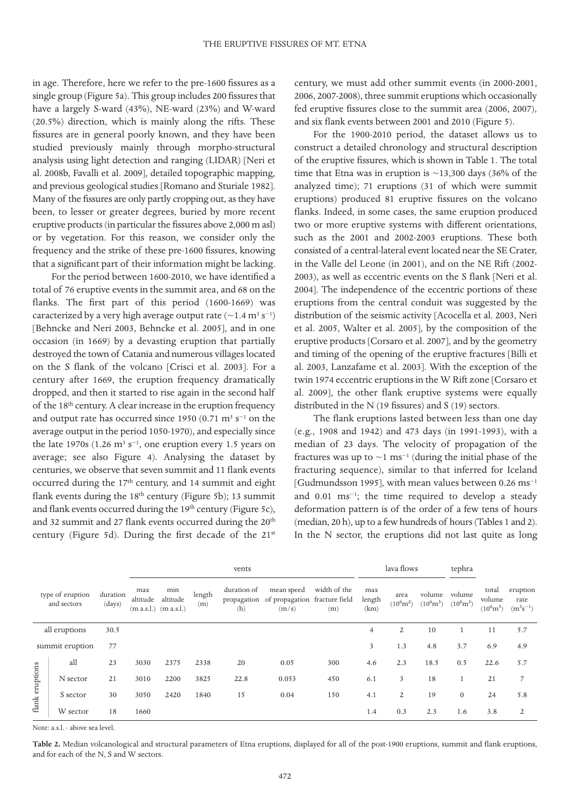in age. Therefore, here we refer to the pre-1600 fissures as a single group (Figure 5a). This group includes 200 fissures that have a largely S-ward (43%), NE-ward (23%) and W-ward (20.5%) direction, which is mainly along the rifts. These fissures are in general poorly known, and they have been studied previously mainly through morpho-structural analysis using light detection and ranging (LIDAR) [Neri et al. 2008b, Favalli et al. 2009], detailed topographic mapping, and previous geological studies [Romano and Sturiale 1982]. Many of the fissures are only partly cropping out, as they have been, to lesser or greater degrees, buried by more recent eruptive products (in particular the fissures above 2,000 m asl) or by vegetation. For this reason, we consider only the frequency and the strike of these pre-1600 fissures, knowing that a significant part of their information might be lacking.

For the period between 1600-2010, we have identified a total of 76 eruptive events in the summit area, and 68 on the flanks. The first part of this period (1600-1669) was caracterized by a very high average output rate  $($ ~1.4 m<sup>3</sup> s<sup>-1</sup>) [Behncke and Neri 2003, Behncke et al. 2005], and in one occasion (in 1669) by a devasting eruption that partially destroyed the town of Catania and numerous villages located on the S flank of the volcano [Crisci et al. 2003]. For a century after 1669, the eruption frequency dramatically dropped, and then it started to rise again in the second half of the 18th century. A clear increase in the eruption frequency and output rate has occurred since 1950 (0.71 m<sup>3</sup> s<sup>-1</sup> on the average output in the period 1050-1970), and especially since the late 1970s (1.26 m<sup>3</sup> s<sup>-1</sup>, one eruption every 1.5 years on average; see also Figure 4). Analysing the dataset by centuries, we observe that seven summit and 11 flank events occurred during the 17th century, and 14 summit and eight flank events during the 18<sup>th</sup> century (Figure 5b); 13 summit and flank events occurred during the 19<sup>th</sup> century (Figure 5c), and 32 summit and 27 flank events occurred during the 20<sup>th</sup> century (Figure 5d). During the first decade of the 21st century, we must add other summit events (in 2000-2001, 2006, 2007-2008), three summit eruptions which occasionally fed eruptive fissures close to the summit area (2006, 2007), and six flank events between 2001 and 2010 (Figure 5).

For the 1900-2010 period, the dataset allows us to construct a detailed chronology and structural description of the eruptive fissures, which is shown in Table 1. The total time that Etna was in eruption is  $\sim$ 13,300 days (36% of the analyzed time); 71 eruptions (31 of which were summit eruptions) produced 81 eruptive fissures on the volcano flanks. Indeed, in some cases, the same eruption produced two or more eruptive systems with different orientations, such as the 2001 and 2002-2003 eruptions. These both consisted of a central-lateral event located near the SE Crater, in the Valle del Leone (in 2001), and on the NE Rift (2002- 2003), as well as eccentric events on the S flank [Neri et al. 2004]. The independence of the eccentric portions of these eruptions from the central conduit was suggested by the distribution of the seismic activity [Acocella et al. 2003, Neri et al. 2005, Walter et al. 2005], by the composition of the eruptive products [Corsaro et al. 2007], and by the geometry and timing of the opening of the eruptive fractures [Billi et al. 2003, Lanzafame et al. 2003]. With the exception of the twin 1974 eccentric eruptions in the W Rift zone [Corsaro et al. 2009], the other flank eruptive systems were equally distributed in the N (19 fissures) and S (19) sectors.

The flank eruptions lasted between less than one day (e.g., 1908 and 1942) and 473 days (in 1991-1993), with a median of 23 days. The velocity of propagation of the fractures was up to  $\sim$ 1 ms<sup>-1</sup> (during the initial phase of the fracturing sequence), similar to that inferred for Iceland [Gudmundsson 1995], with mean values between 0.26 ms<sup>-1</sup> and 0.01 ms−1; the time required to develop a steady deformation pattern is of the order of a few tens of hours (median, 20 h), up to a few hundreds of hours (Tables 1 and 2). In the N sector, the eruptions did not last quite as long

|                                 |                 |                    |                 |                                              |               | vents              |                                                                  |                     |                       | lava flows                  |                               | tephra                        |                                        |                                   |
|---------------------------------|-----------------|--------------------|-----------------|----------------------------------------------|---------------|--------------------|------------------------------------------------------------------|---------------------|-----------------------|-----------------------------|-------------------------------|-------------------------------|----------------------------------------|-----------------------------------|
| type of eruption<br>and sectors |                 | duration<br>(days) | max<br>altitude | min<br>altitude<br>$(m a.s.l.)$ $(m a.s.l.)$ | length<br>(m) | duration of<br>(h) | mean speed<br>propagation of propagation fracture field<br>(m/s) | width of the<br>(m) | max<br>length<br>(km) | area<br>$(10^6 \text{m}^2)$ | volume<br>$(10^6 \text{m}^3)$ | volume<br>$(10^6 \text{m}^3)$ | total<br>volume<br>$(10^6 \text{m}^3)$ | eruption<br>rate<br>$(m^3s^{-1})$ |
|                                 | all eruptions   | 30.5               |                 |                                              |               |                    |                                                                  |                     | $\overline{4}$        | 2                           | 10                            | 1                             | 11                                     | 5.7                               |
|                                 | summit eruption | 77                 |                 |                                              |               |                    |                                                                  |                     | 3                     | 1.3                         | 4.8                           | 3.7                           | 6.9                                    | 4.9                               |
|                                 | all             | 23                 | 3030            | 2375                                         | 2338          | 20                 | 0.05                                                             | 300                 | 4.6                   | 2.3                         | 18.5                          | 0.5                           | 22.6                                   | 5.7                               |
| flank eruptions                 | N sector        | 21                 | 3010            | 2200                                         | 3825          | 22.8               | 0.053                                                            | 450                 | 6.1                   | 3                           | 18                            |                               | 21                                     | $\overline{7}$                    |
|                                 | S sector        | 30                 | 3050            | 2420                                         | 1840          | 15                 | 0.04                                                             | 150                 | 4.1                   | 2                           | 19                            | $\mathbf{0}$                  | 24                                     | 5.8                               |
|                                 | W sector        | 18                 | 1660            |                                              |               |                    |                                                                  |                     | 1.4                   | 0.3                         | 2.3                           | 1.6                           | 3.8                                    | 2                                 |

Note: a.s.l. - above sea level.

**Table 2.** Median volcanological and structural parameters of Etna eruptions, displayed for all of the post-1900 eruptions, summit and flank eruptions, and for each of the N, S and W sectors.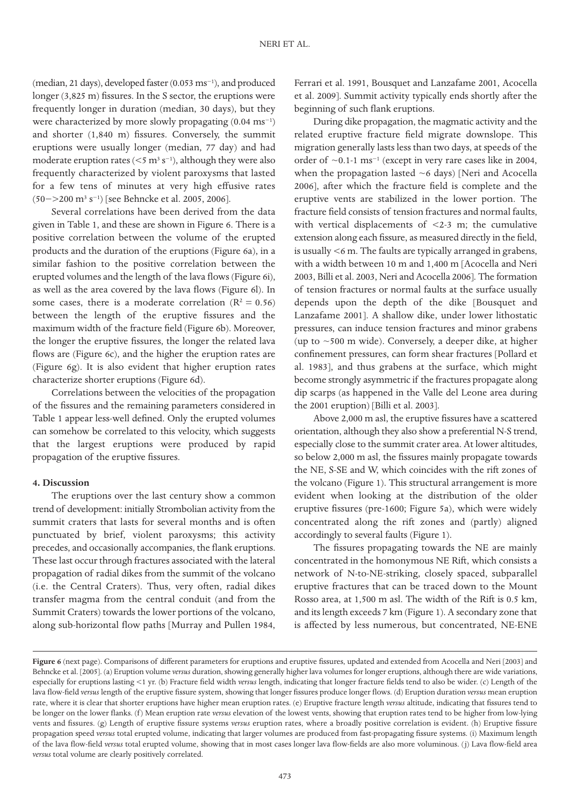(median, 21 days), developed faster (0.053 ms−1), and produced longer (3,825 m) fissures. In the S sector, the eruptions were frequently longer in duration (median, 30 days), but they were characterized by more slowly propagating (0.04 ms−1) and shorter (1,840 m) fissures. Conversely, the summit eruptions were usually longer (median, 77 day) and had moderate eruption rates ( $\leq 5$  m<sup>3</sup> s<sup>-1</sup>), although they were also frequently characterized by violent paroxysms that lasted for a few tens of minutes at very high effusive rates (50−>200 m3 s−1) [see Behncke et al. 2005, 2006].

Several correlations have been derived from the data given in Table 1, and these are shown in Figure 6. There is a positive correlation between the volume of the erupted products and the duration of the eruptions (Figure 6a), in a similar fashion to the positive correlation between the erupted volumes and the length of the lava flows (Figure 6i), as well as the area covered by the lava flows (Figure 6l). In some cases, there is a moderate correlation ( $R^2 = 0.56$ ) between the length of the eruptive fissures and the maximum width of the fracture field (Figure 6b). Moreover, the longer the eruptive fissures, the longer the related lava flows are (Figure 6c), and the higher the eruption rates are (Figure 6g). It is also evident that higher eruption rates characterize shorter eruptions (Figure 6d).

Correlations between the velocities of the propagation of the fissures and the remaining parameters considered in Table 1 appear less-well defined. Only the erupted volumes can somehow be correlated to this velocity, which suggests that the largest eruptions were produced by rapid propagation of the eruptive fissures.

### **4. Discussion**

The eruptions over the last century show a common trend of development: initially Strombolian activity from the summit craters that lasts for several months and is often punctuated by brief, violent paroxysms; this activity precedes, and occasionally accompanies, the flank eruptions. These last occur through fractures associated with the lateral propagation of radial dikes from the summit of the volcano (i.e. the Central Craters). Thus, very often, radial dikes transfer magma from the central conduit (and from the Summit Craters) towards the lower portions of the volcano, along sub-horizontal flow paths [Murray and Pullen 1984,

Ferrari et al. 1991, Bousquet and Lanzafame 2001, Acocella et al. 2009]. Summit activity typically ends shortly after the beginning of such flank eruptions.

During dike propagation, the magmatic activity and the related eruptive fracture field migrate downslope. This migration generally lasts less than two days, at speeds of the order of  $\sim$ 0.1-1 ms<sup>-1</sup> (except in very rare cases like in 2004, when the propagation lasted  $~6$  days) [Neri and Acocella 2006], after which the fracture field is complete and the eruptive vents are stabilized in the lower portion. The fracture field consists of tension fractures and normal faults, with vertical displacements of <2-3 m; the cumulative extension along each fissure, as measured directly in the field, is usually <6 m. The faults are typically arranged in grabens, with a width between 10 m and 1,400 m [Acocella and Neri 2003, Billi et al. 2003, Neri and Acocella 2006]. The formation of tension fractures or normal faults at the surface usually depends upon the depth of the dike [Bousquet and Lanzafame 2001]. A shallow dike, under lower lithostatic pressures, can induce tension fractures and minor grabens (up to  $\sim$  500 m wide). Conversely, a deeper dike, at higher confinement pressures, can form shear fractures [Pollard et al. 1983], and thus grabens at the surface, which might become strongly asymmetric if the fractures propagate along dip scarps (as happened in the Valle del Leone area during the 2001 eruption) [Billi et al. 2003].

Above 2,000 m asl, the eruptive fissures have a scattered orientation, although they also show a preferential N-S trend, especially close to the summit crater area. At lower altitudes, so below 2,000 m asl, the fissures mainly propagate towards the NE, S-SE and W, which coincides with the rift zones of the volcano (Figure 1). This structural arrangement is more evident when looking at the distribution of the older eruptive fissures (pre-1600; Figure 5a), which were widely concentrated along the rift zones and (partly) aligned accordingly to several faults (Figure 1).

The fissures propagating towards the NE are mainly concentrated in the homonymous NE Rift, which consists a network of N-to-NE-striking, closely spaced, subparallel eruptive fractures that can be traced down to the Mount Rosso area, at 1,500 m asl. The width of the Rift is 0.5 km, and its length exceeds 7 km (Figure 1). A secondary zone that is affected by less numerous, but concentrated, NE-ENE

**Figure 6** (next page). Comparisons of different parameters for eruptions and eruptive fissures, updated and extended from Acocella and Neri [2003] and Behncke et al. [2005]. (a) Eruption volume *versus* duration, showing generally higher lava volumes for longer eruptions, although there are wide variations, especially for eruptions lasting <1 yr. (b) Fracture field width *versus* length, indicating that longer fracture fields tend to also be wider. (c) Length of the lava flow-field *versus* length of the eruptive fissure system, showing that longer fissures produce longer flows. (d) Eruption duration *versus* mean eruption rate, where it is clear that shorter eruptions have higher mean eruption rates. (e) Eruptive fracture length *versus* altitude, indicating that fissures tend to be longer on the lower flanks. (f ) Mean eruption rate *versus* elevation of the lowest vents, showing that eruption rates tend to be higher from low-lying vents and fissures. (g) Length of eruptive fissure systems *versus* eruption rates, where a broadly positive correlation is evident. (h) Eruptive fissure propagation speed *versus* total erupted volume, indicating that larger volumes are produced from fast-propagating fissure systems. (i) Maximum length of the lava flow-field *versus* total erupted volume, showing that in most cases longer lava flow-fields are also more voluminous. (j) Lava flow-field area *versus* total volume are clearly positively correlated.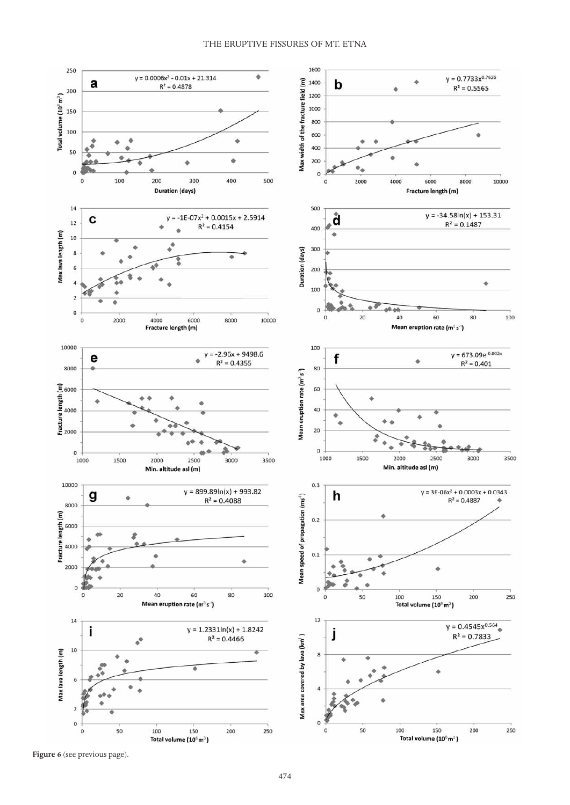

**Figure 6** (see previous page).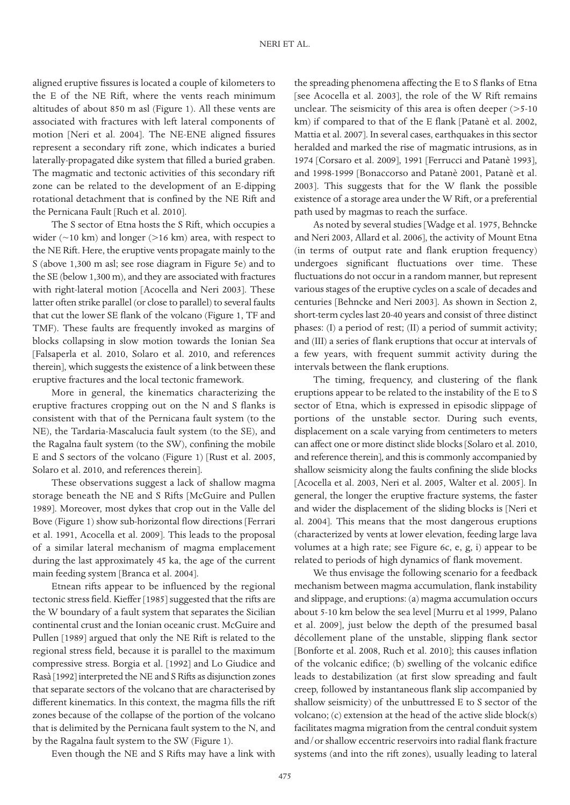aligned eruptive fissures is located a couple of kilometers to the E of the NE Rift, where the vents reach minimum altitudes of about 850 m asl (Figure 1). All these vents are associated with fractures with left lateral components of motion [Neri et al. 2004]. The NE-ENE aligned fissures represent a secondary rift zone, which indicates a buried laterally-propagated dike system that filled a buried graben. The magmatic and tectonic activities of this secondary rift zone can be related to the development of an E-dipping rotational detachment that is confined by the NE Rift and the Pernicana Fault [Ruch et al. 2010].

The S sector of Etna hosts the S Rift, which occupies a wider  $(\sim 10 \text{ km})$  and longer ( $> 16 \text{ km}$ ) area, with respect to the NE Rift. Here, the eruptive vents propagate mainly to the S (above 1,300 m asl; see rose diagram in Figure 5e) and to the SE (below 1,300 m), and they are associated with fractures with right-lateral motion [Acocella and Neri 2003]. These latter often strike parallel (or close to parallel) to several faults that cut the lower SE flank of the volcano (Figure 1, TF and TMF). These faults are frequently invoked as margins of blocks collapsing in slow motion towards the Ionian Sea [Falsaperla et al. 2010, Solaro et al. 2010, and references therein], which suggests the existence of a link between these eruptive fractures and the local tectonic framework.

More in general, the kinematics characterizing the eruptive fractures cropping out on the N and S flanks is consistent with that of the Pernicana fault system (to the NE), the Tardaria-Mascalucia fault system (to the SE), and the Ragalna fault system (to the SW), confining the mobile E and S sectors of the volcano (Figure 1) [Rust et al. 2005, Solaro et al. 2010, and references therein].

These observations suggest a lack of shallow magma storage beneath the NE and S Rifts [McGuire and Pullen 1989]. Moreover, most dykes that crop out in the Valle del Bove (Figure 1) show sub-horizontal flow directions [Ferrari et al. 1991, Acocella et al. 2009]. This leads to the proposal of a similar lateral mechanism of magma emplacement during the last approximately 45 ka, the age of the current main feeding system [Branca et al. 2004].

Etnean rifts appear to be influenced by the regional tectonic stress field. Kieffer [1985] suggested that the rifts are the W boundary of a fault system that separates the Sicilian continental crust and the Ionian oceanic crust. McGuire and Pullen [1989] argued that only the NE Rift is related to the regional stress field, because it is parallel to the maximum compressive stress. Borgia et al. [1992] and Lo Giudice and Rasà [1992] interpreted the NE and S Rifts as disjunction zones that separate sectors of the volcano that are characterised by different kinematics. In this context, the magma fills the rift zones because of the collapse of the portion of the volcano that is delimited by the Pernicana fault system to the N, and by the Ragalna fault system to the SW (Figure 1).

Even though the NE and S Rifts may have a link with

the spreading phenomena affecting the E to S flanks of Etna [see Acocella et al. 2003], the role of the W Rift remains unclear. The seismicity of this area is often deeper (>5-10 km) if compared to that of the E flank [Patanè et al. 2002, Mattia et al. 2007]. In several cases, earthquakes in this sector heralded and marked the rise of magmatic intrusions, as in 1974 [Corsaro et al. 2009], 1991 [Ferrucci and Patanè 1993], and 1998-1999 [Bonaccorso and Patanè 2001, Patanè et al. 2003]. This suggests that for the W flank the possible existence of a storage area under the W Rift, or a preferential path used by magmas to reach the surface.

As noted by several studies [Wadge et al. 1975, Behncke and Neri 2003, Allard et al. 2006], the activity of Mount Etna (in terms of output rate and flank eruption frequency) undergoes significant fluctuations over time. These fluctuations do not occur in a random manner, but represent various stages of the eruptive cycles on a scale of decades and centuries [Behncke and Neri 2003]. As shown in Section 2, short-term cycles last 20-40 years and consist of three distinct phases: (I) a period of rest; (II) a period of summit activity; and (III) a series of flank eruptions that occur at intervals of a few years, with frequent summit activity during the intervals between the flank eruptions.

The timing, frequency, and clustering of the flank eruptions appear to be related to the instability of the E to S sector of Etna, which is expressed in episodic slippage of portions of the unstable sector. During such events, displacement on a scale varying from centimeters to meters can affect one or more distinct slide blocks [Solaro et al. 2010, and reference therein], and this is commonly accompanied by shallow seismicity along the faults confining the slide blocks [Acocella et al. 2003, Neri et al. 2005, Walter et al. 2005]. In general, the longer the eruptive fracture systems, the faster and wider the displacement of the sliding blocks is [Neri et al. 2004]. This means that the most dangerous eruptions (characterized by vents at lower elevation, feeding large lava volumes at a high rate; see Figure 6c, e, g, i) appear to be related to periods of high dynamics of flank movement.

We thus envisage the following scenario for a feedback mechanism between magma accumulation, flank instability and slippage, and eruptions: (a) magma accumulation occurs about 5-10 km below the sea level [Murru et al 1999, Palano et al. 2009], just below the depth of the presumed basal décollement plane of the unstable, slipping flank sector [Bonforte et al. 2008, Ruch et al. 2010]; this causes inflation of the volcanic edifice; (b) swelling of the volcanic edifice leads to destabilization (at first slow spreading and fault creep, followed by instantaneous flank slip accompanied by shallow seismicity) of the unbuttressed E to S sector of the volcano; (c) extension at the head of the active slide block(s) facilitates magma migration from the central conduit system and/or shallow eccentric reservoirs into radial flank fracture systems (and into the rift zones), usually leading to lateral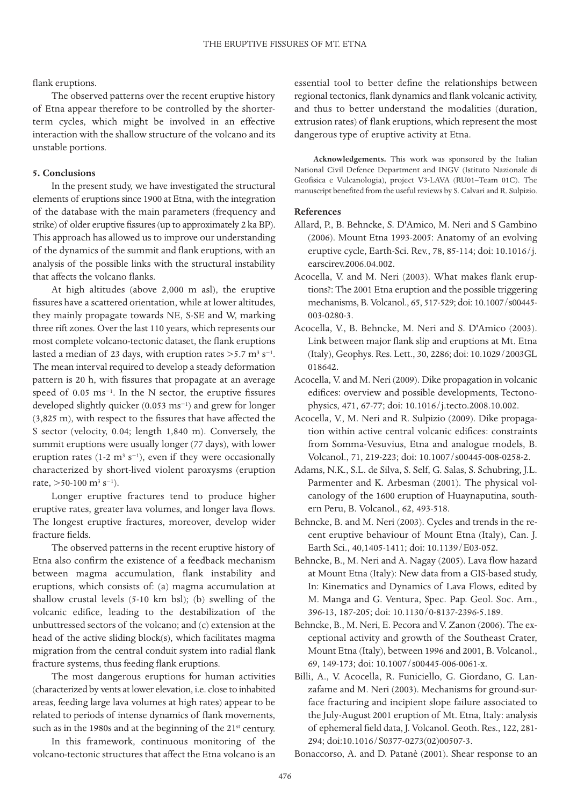### flank eruptions.

The observed patterns over the recent eruptive history of Etna appear therefore to be controlled by the shorterterm cycles, which might be involved in an effective interaction with the shallow structure of the volcano and its unstable portions.

### **5. Conclusions**

In the present study, we have investigated the structural elements of eruptions since 1900 at Etna, with the integration of the database with the main parameters (frequency and strike) of older eruptive fissures (up to approximately 2 ka BP). This approach has allowed us to improve our understanding of the dynamics of the summit and flank eruptions, with an analysis of the possible links with the structural instability that affects the volcano flanks.

At high altitudes (above 2,000 m asl), the eruptive fissures have a scattered orientation, while at lower altitudes, they mainly propagate towards NE, S-SE and W, marking three rift zones. Over the last 110 years, which represents our most complete volcano-tectonic dataset, the flank eruptions lasted a median of 23 days, with eruption rates >5.7 m<sup>3</sup> s<sup>-1</sup>. The mean interval required to develop a steady deformation pattern is 20 h, with fissures that propagate at an average speed of 0.05 ms<sup>-1</sup>. In the N sector, the eruptive fissures developed slightly quicker (0.053 ms−1) and grew for longer (3,825 m), with respect to the fissures that have affected the S sector (velocity, 0.04; length 1,840 m). Conversely, the summit eruptions were usually longer (77 days), with lower eruption rates (1-2 m<sup>3</sup> s<sup>-1</sup>), even if they were occasionally characterized by short-lived violent paroxysms (eruption rate,  $>50-100$  m<sup>3</sup> s<sup>-1</sup>).

Longer eruptive fractures tend to produce higher eruptive rates, greater lava volumes, and longer lava flows. The longest eruptive fractures, moreover, develop wider fracture fields.

The observed patterns in the recent eruptive history of Etna also confirm the existence of a feedback mechanism between magma accumulation, flank instability and eruptions, which consists of: (a) magma accumulation at shallow crustal levels (5-10 km bsl); (b) swelling of the volcanic edifice, leading to the destabilization of the unbuttressed sectors of the volcano; and (c) extension at the head of the active sliding block(s), which facilitates magma migration from the central conduit system into radial flank fracture systems, thus feeding flank eruptions.

The most dangerous eruptions for human activities (characterized by vents at lower elevation, i.e. close to inhabited areas, feeding large lava volumes at high rates) appear to be related to periods of intense dynamics of flank movements, such as in the 1980s and at the beginning of the 21<sup>st</sup> century.

In this framework, continuous monitoring of the volcano-tectonic structures that affect the Etna volcano is an

essential tool to better define the relationships between regional tectonics, flank dynamics and flank volcanic activity, and thus to better understand the modalities (duration, extrusion rates) of flank eruptions, which represent the most dangerous type of eruptive activity at Etna.

**Acknowledgements.** This work was sponsored by the Italian National Civil Defence Department and INGV (Istituto Nazionale di Geofisica e Vulcanologia), project V3-LAVA (RU01–Team 01C). The manuscript benefited from the useful reviews by S. Calvari and R. Sulpizio.

### **References**

- Allard, P., B. Behncke, S. D'Amico, M. Neri and S Gambino (2006). Mount Etna 1993-2005: Anatomy of an evolving eruptive cycle, Earth-Sci. Rev., 78, 85-114; doi: 10.1016/j. earscirev.2006.04.002.
- Acocella, V. and M. Neri (2003). What makes flank eruptions?: The 2001 Etna eruption and the possible triggering mechanisms, B. Volcanol., 65, 517-529; doi: 10.1007/s00445- 003-0280-3.
- Acocella, V., B. Behncke, M. Neri and S. D'Amico (2003). Link between major flank slip and eruptions at Mt. Etna (Italy), Geophys. Res. Lett., 30, 2286; doi: 10.1029/2003GL 018642.
- Acocella, V. and M. Neri (2009). Dike propagation in volcanic edifices: overview and possible developments, Tectonophysics, 471, 67-77; doi: 10.1016/j.tecto.2008.10.002.
- Acocella, V., M. Neri and R. Sulpizio (2009). Dike propagation within active central volcanic edifices: constraints from Somma-Vesuvius, Etna and analogue models, B. Volcanol., 71, 219-223; doi: 10.1007/s00445-008-0258-2.
- Adams, N.K., S.L. de Silva, S. Self, G. Salas, S. Schubring, J.L. Parmenter and K. Arbesman (2001). The physical volcanology of the 1600 eruption of Huaynaputina, southern Peru, B. Volcanol., 62, 493-518.
- Behncke, B. and M. Neri (2003). Cycles and trends in the recent eruptive behaviour of Mount Etna (Italy), Can. J. Earth Sci., 40,1405-1411; doi: 10.1139/E03-052.
- Behncke, B., M. Neri and A. Nagay (2005). Lava flow hazard at Mount Etna (Italy): New data from a GIS-based study, In: Kinematics and Dynamics of Lava Flows, edited by M. Manga and G. Ventura, Spec. Pap. Geol. Soc. Am., 396-13, 187-205; doi: 10.1130/0-8137-2396-5.189.
- Behncke, B., M. Neri, E. Pecora and V. Zanon (2006). The exceptional activity and growth of the Southeast Crater, Mount Etna (Italy), between 1996 and 2001, B. Volcanol., 69, 149-173; doi: 10.1007/s00445-006-0061-x.
- Billi, A., V. Acocella, R. Funiciello, G. Giordano, G. Lanzafame and M. Neri (2003). Mechanisms for ground-surface fracturing and incipient slope failure associated to the July-August 2001 eruption of Mt. Etna, Italy: analysis of ephemeral field data, J. Volcanol. Geoth. Res., 122, 281- 294; doi:10.1016/S0377-0273(02)00507-3.

Bonaccorso, A. and D. Patanè (2001). Shear response to an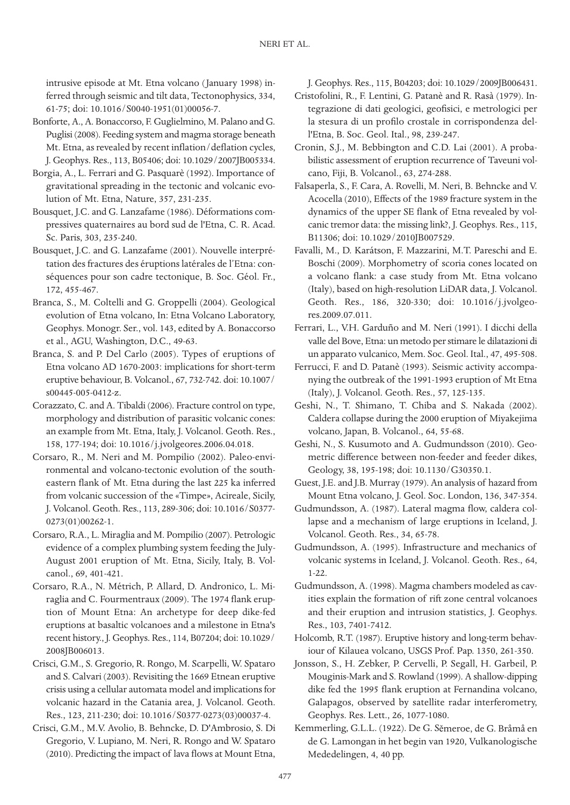intrusive episode at Mt. Etna volcano (January 1998) inferred through seismic and tilt data, Tectonophysics, 334, 61-75; doi: 10.1016/S0040-1951(01)00056-7.

- Bonforte, A., A. Bonaccorso, F. Guglielmino, M. Palano and G. Puglisi (2008). Feeding system and magma storage beneath Mt. Etna, as revealed by recent inflation/deflation cycles, J. Geophys. Res., 113, B05406; doi: 10.1029/2007JB005334.
- Borgia, A., L. Ferrari and G. Pasquarè (1992). Importance of gravitational spreading in the tectonic and volcanic evolution of Mt. Etna, Nature, 357, 231-235.
- Bousquet, J.C. and G. Lanzafame (1986). Déformations compressives quaternaires au bord sud de l'Etna, C. R. Acad. Sc. Paris, 303, 235-240.
- Bousquet, J.C. and G. Lanzafame (2001). Nouvelle interprétation des fractures des éruptions latérales de l'Etna: conséquences pour son cadre tectonique, B. Soc. Géol. Fr., 172, 455-467.
- Branca, S., M. Coltelli and G. Groppelli (2004). Geological evolution of Etna volcano, In: Etna Volcano Laboratory, Geophys. Monogr. Ser., vol. 143, edited by A. Bonaccorso et al., AGU, Washington, D.C., 49-63.
- Branca, S. and P. Del Carlo (2005). Types of eruptions of Etna volcano AD 1670-2003: implications for short-term eruptive behaviour, B. Volcanol., 67, 732-742. doi: 10.1007/ s00445-005-0412-z.
- Corazzato, C. and A. Tibaldi (2006). Fracture control on type, morphology and distribution of parasitic volcanic cones: an example from Mt. Etna, Italy, J. Volcanol. Geoth. Res., 158, 177-194; doi: 10.1016/j.jvolgeores.2006.04.018.
- Corsaro, R., M. Neri and M. Pompilio (2002). Paleo-environmental and volcano-tectonic evolution of the southeastern flank of Mt. Etna during the last 225 ka inferred from volcanic succession of the «Timpe», Acireale, Sicily, J. Volcanol. Geoth. Res., 113, 289-306; doi: 10.1016/S0377- 0273(01)00262-1.
- Corsaro, R.A., L. Miraglia and M. Pompilio (2007). Petrologic evidence of a complex plumbing system feeding the July-August 2001 eruption of Mt. Etna, Sicily, Italy, B. Volcanol., 69, 401-421.
- Corsaro, R.A., N. Métrich, P. Allard, D. Andronico, L. Miraglia and C. Fourmentraux (2009). The 1974 flank eruption of Mount Etna: An archetype for deep dike-fed eruptions at basaltic volcanoes and a milestone in Etna's recent history., J. Geophys. Res., 114, B07204; doi: 10.1029/ 2008JB006013.
- Crisci, G.M., S. Gregorio, R. Rongo, M. Scarpelli, W. Spataro and S. Calvari (2003). Revisiting the 1669 Etnean eruptive crisis using a cellular automata model and implications for volcanic hazard in the Catania area, J. Volcanol. Geoth. Res., 123, 211-230; doi: 10.1016/S0377-0273(03)00037-4.
- Crisci, G.M., M.V. Avolio, B. Behncke, D. D'Ambrosio, S. Di Gregorio, V. Lupiano, M. Neri, R. Rongo and W. Spataro (2010). Predicting the impact of lava flows at Mount Etna,

J. Geophys. Res., 115, B04203; doi: 10.1029/2009JB006431.

- Cristofolini, R., F. Lentini, G. Patanè and R. Rasà (1979). Integrazione di dati geologici, geofisici, e metrologici per la stesura di un profilo crostale in corrispondenza dell'Etna, B. Soc. Geol. Ital., 98, 239-247.
- Cronin, S.J., M. Bebbington and C.D. Lai (2001). A probabilistic assessment of eruption recurrence of Taveuni volcano, Fiji, B. Volcanol., 63, 274-288.
- Falsaperla, S., F. Cara, A. Rovelli, M. Neri, B. Behncke and V. Acocella (2010), Effects of the 1989 fracture system in the dynamics of the upper SE flank of Etna revealed by volcanic tremor data: the missing link?, J. Geophys. Res., 115, B11306; doi: 10.1029/2010JB007529.
- Favalli, M., D. Karátson, F. Mazzarini, M.T. Pareschi and E. Boschi (2009). Morphometry of scoria cones located on a volcano flank: a case study from Mt. Etna volcano (Italy), based on high-resolution LiDAR data, J. Volcanol. Geoth. Res., 186, 320-330; doi: 10.1016/j.jvolgeores.2009.07.011.
- Ferrari, L., V.H. Garduño and M. Neri (1991). I dicchi della valle del Bove, Etna: un metodo per stimare le dilatazioni di un apparato vulcanico, Mem. Soc. Geol. Ital., 47, 495-508.
- Ferrucci, F. and D. Patanè (1993). Seismic activity accompanying the outbreak of the 1991-1993 eruption of Mt Etna (Italy), J. Volcanol. Geoth. Res., 57, 125-135.
- Geshi, N., T. Shimano, T. Chiba and S. Nakada (2002). Caldera collapse during the 2000 eruption of Miyakejima volcano, Japan, B. Volcanol., 64, 55-68.
- Geshi, N., S. Kusumoto and A. Gudmundsson (2010). Geometric difference between non-feeder and feeder dikes, Geology, 38, 195-198; doi: 10.1130/G30350.1.
- Guest, J.E. and J.B. Murray (1979). An analysis of hazard from Mount Etna volcano, J. Geol. Soc. London, 136, 347-354.
- Gudmundsson, A. (1987). Lateral magma flow, caldera collapse and a mechanism of large eruptions in Iceland, J. Volcanol. Geoth. Res., 34, 65-78.
- Gudmundsson, A. (1995). Infrastructure and mechanics of volcanic systems in Iceland, J. Volcanol. Geoth. Res., 64, 1-22.
- Gudmundsson, A. (1998). Magma chambers modeled as cavities explain the formation of rift zone central volcanoes and their eruption and intrusion statistics, J. Geophys. Res., 103, 7401-7412.
- Holcomb, R.T. (1987). Eruptive history and long-term behaviour of Kilauea volcano, USGS Prof. Pap. 1350, 261-350.
- Jonsson, S., H. Zebker, P. Cervelli, P. Segall, H. Garbeil, P. Mouginis-Mark and S. Rowland (1999). A shallow-dipping dike fed the 1995 flank eruption at Fernandina volcano, Galapagos, observed by satellite radar interferometry, Geophys. Res. Lett., 26, 1077-1080.
- Kemmerling, G.L.L. (1922). De G. Sěmeroe, de G. Bråmå en de G. Lamongan in het begin van 1920, Vulkanologische Mededelingen, 4, 40 pp.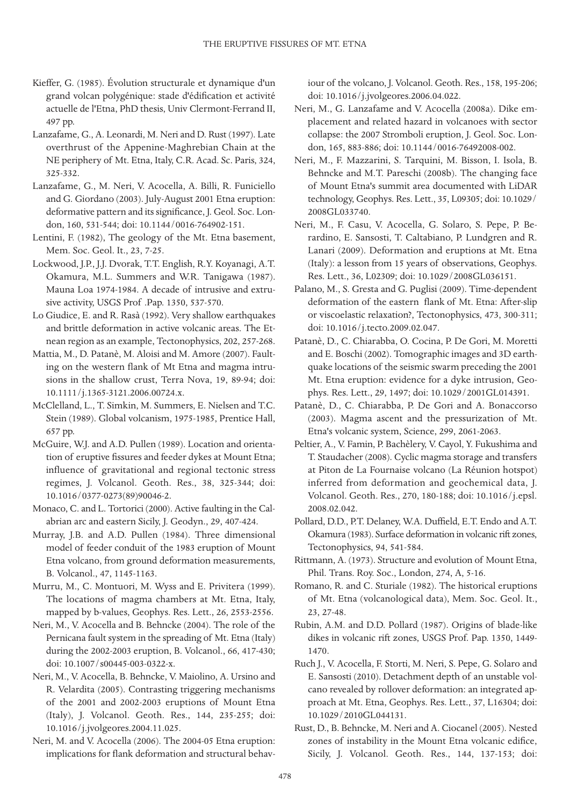- Kieffer, G. (1985). Évolution structurale et dynamique d'un grand volcan polygénique: stade d'édification et activité actuelle de l'Etna, PhD thesis, Univ Clermont-Ferrand II, 497 pp.
- Lanzafame, G., A. Leonardi, M. Neri and D. Rust (1997). Late overthrust of the Appenine-Maghrebian Chain at the NE periphery of Mt. Etna, Italy, C.R. Acad. Sc. Paris, 324, 325-332.
- Lanzafame, G., M. Neri, V. Acocella, A. Billi, R. Funiciello and G. Giordano (2003). July-August 2001 Etna eruption: deformative pattern and its significance, J. Geol. Soc. London, 160, 531-544; doi: 10.1144/0016-764902-151.
- Lentini, F. (1982), The geology of the Mt. Etna basement, Mem. Soc. Geol. It., 23, 7-25.
- Lockwood, J.P., J.J. Dvorak, T.T. English, R.Y. Koyanagi, A.T. Okamura, M.L. Summers and W.R. Tanigawa (1987). Mauna Loa 1974-1984. A decade of intrusive and extrusive activity, USGS Prof .Pap. 1350, 537-570.
- Lo Giudice, E. and R. Rasà (1992). Very shallow earthquakes and brittle deformation in active volcanic areas. The Etnean region as an example, Tectonophysics, 202, 257-268.
- Mattia, M., D. Patanè, M. Aloisi and M. Amore (2007). Faulting on the western flank of Mt Etna and magma intrusions in the shallow crust, Terra Nova, 19, 89-94; doi: 10.1111/j.1365-3121.2006.00724.x.
- McClelland, L., T. Simkin, M. Summers, E. Nielsen and T.C. Stein (1989). Global volcanism, 1975-1985, Prentice Hall, 657 pp.
- McGuire, W.J. and A.D. Pullen (1989). Location and orientation of eruptive fissures and feeder dykes at Mount Etna; influence of gravitational and regional tectonic stress regimes, J. Volcanol. Geoth. Res., 38, 325-344; doi: 10.1016/0377-0273(89)90046-2.
- Monaco, C. and L. Tortorici (2000). Active faulting in the Calabrian arc and eastern Sicily, J. Geodyn., 29, 407-424.
- Murray, J.B. and A.D. Pullen (1984). Three dimensional model of feeder conduit of the 1983 eruption of Mount Etna volcano, from ground deformation measurements, B. Volcanol., 47, 1145-1163.
- Murru, M., C. Montuori, M. Wyss and E. Privitera (1999). The locations of magma chambers at Mt. Etna, Italy, mapped by b-values, Geophys. Res. Lett., 26, 2553-2556.
- Neri, M., V. Acocella and B. Behncke (2004). The role of the Pernicana fault system in the spreading of Mt. Etna (Italy) during the 2002-2003 eruption, B. Volcanol., 66, 417-430; doi: 10.1007/s00445-003-0322-x.
- Neri, M., V. Acocella, B. Behncke, V. Maiolino, A. Ursino and R. Velardita (2005). Contrasting triggering mechanisms of the 2001 and 2002-2003 eruptions of Mount Etna (Italy), J. Volcanol. Geoth. Res., 144, 235-255; doi: 10.1016/j.jvolgeores.2004.11.025.
- Neri, M. and V. Acocella (2006). The 2004-05 Etna eruption: implications for flank deformation and structural behav-

iour of the volcano, J. Volcanol. Geoth. Res., 158, 195-206; doi: 10.1016/j.jvolgeores.2006.04.022.

- Neri, M., G. Lanzafame and V. Acocella (2008a). Dike emplacement and related hazard in volcanoes with sector collapse: the 2007 Stromboli eruption, J. Geol. Soc. London, 165, 883-886; doi: 10.1144/0016-76492008-002.
- Neri, M., F. Mazzarini, S. Tarquini, M. Bisson, I. Isola, B. Behncke and M.T. Pareschi (2008b). The changing face of Mount Etna's summit area documented with LiDAR technology, Geophys. Res. Lett., 35, L09305; doi: 10.1029/ 2008GL033740.
- Neri, M., F. Casu, V. Acocella, G. Solaro, S. Pepe, P. Berardino, E. Sansosti, T. Caltabiano, P. Lundgren and R. Lanari (2009). Deformation and eruptions at Mt. Etna (Italy): a lesson from 15 years of observations, Geophys. Res. Lett., 36, L02309; doi: 10.1029/2008GL036151.
- Palano, M., S. Gresta and G. Puglisi (2009). Time-dependent deformation of the eastern flank of Mt. Etna: After-slip or viscoelastic relaxation?, Tectonophysics, 473, 300-311; doi: 10.1016/j.tecto.2009.02.047.
- Patanè, D., C. Chiarabba, O. Cocina, P. De Gori, M. Moretti and E. Boschi (2002). Tomographic images and 3D earthquake locations of the seismic swarm preceding the 2001 Mt. Etna eruption: evidence for a dyke intrusion, Geophys. Res. Lett., 29, 1497; doi: 10.1029/2001GL014391.
- Patanè, D., C. Chiarabba, P. De Gori and A. Bonaccorso (2003). Magma ascent and the pressurization of Mt. Etna's volcanic system, Science, 299, 2061-2063.
- Peltier, A., V. Famin, P. Bachèlery, V. Cayol, Y. Fukushima and T. Staudacher (2008). Cyclic magma storage and transfers at Piton de La Fournaise volcano (La Réunion hotspot) inferred from deformation and geochemical data, J. Volcanol. Geoth. Res., 270, 180-188; doi: 10.1016/j.epsl. 2008.02.042.
- Pollard, D.D., P.T. Delaney, W.A. Duffield, E.T. Endo and A.T. Okamura (1983). Surface deformation in volcanic rift zones, Tectonophysics, 94, 541-584.
- Rittmann, A. (1973). Structure and evolution of Mount Etna, Phil. Trans. Roy. Soc., London, 274, A, 5-16.
- Romano, R. and C. Sturiale (1982). The historical eruptions of Mt. Etna (volcanological data), Mem. Soc. Geol. It., 23, 27-48.
- Rubin, A.M. and D.D. Pollard (1987). Origins of blade-like dikes in volcanic rift zones, USGS Prof. Pap. 1350, 1449- 1470.
- Ruch J., V. Acocella, F. Storti, M. Neri, S. Pepe, G. Solaro and E. Sansosti (2010). Detachment depth of an unstable volcano revealed by rollover deformation: an integrated approach at Mt. Etna, Geophys. Res. Lett., 37, L16304; doi: 10.1029/2010GL044131.
- Rust, D., B. Behncke, M. Neri and A. Ciocanel (2005). Nested zones of instability in the Mount Etna volcanic edifice, Sicily, J. Volcanol. Geoth. Res., 144, 137-153; doi: